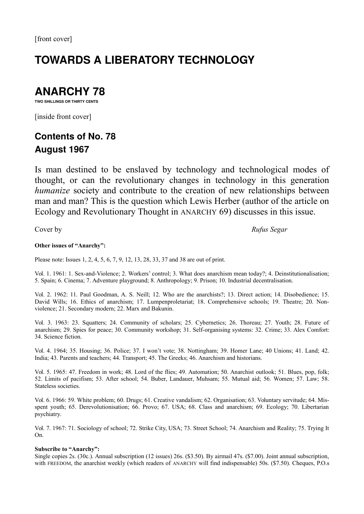[front cover]

## **TOWARDS A LIBERATORY TECHNOLOGY**

### **ANARCHY 78**

**TWO SHILLINGS OR THIRTY CENTS**

[inside front cover]

### **Contents of No. 78 August 1967**

Is man destined to be enslaved by technology and technological modes of thought, or can the revolutionary changes in technology in this generation *humanize* society and contribute to the creation of new relationships between man and man? This is the question which Lewis Herber (author of the article on Ecology and Revolutionary Thought in ANARCHY 69) discusses in this issue.

Cover by *Rufus Segar* 

#### **Other issues of "Anarchy":**

Please note: Issues 1, 2, 4, 5, 6, 7, 9, 12, 13, 28, 33, 37 and 38 are out of print.

Vol. 1. 1961: 1. Sex-and-Violence; 2. Workers' control; 3. What does anarchism mean today?; 4. Deinstitutionalisation; 5. Spain; 6. Cinema; 7. Adventure playground; 8. Anthropology; 9. Prison; 10. Industrial decentralisation.

Vol. 2. 1962: 11. Paul Goodman, A. S. Neill; 12. Who are the anarchists?; 13. Direct action; 14. Disobedience; 15. David Wills; 16. Ethics of anarchism; 17. Lumpenproletariat; 18. Comprehensive schools; 19. Theatre; 20. Nonviolence; 21. Secondary modern; 22. Marx and Bakunin.

Vol. 3. 1963: 23. Squatters; 24. Community of scholars; 25. Cybernetics; 26. Thoreau; 27. Youth; 28. Future of anarchism; 29. Spies for peace; 30. Community workshop; 31. Self-organising systems: 32*.* Crime; 33. Alex Comfort: 34. Science fiction.

Vol. 4. 1964; 35. Housing; 36. Police; 37. I won't vote; 38. Nottingham; 39. Homer Lane; 40 Unions; 41. Land; 42. India; 43. Parents and teachers; 44. Transport; 45. The Greeks; 46. Anarchism and historians.

Vol. 5. 1965: 47. Freedom in work; 48. Lord of the flies; 49. Automation; 50. Anarchist outlook; 51. Blues, pop, folk; 52. Limits of pacifism; 53. After school; 54. Buber, Landauer, Muhsam; 55. Mutual aid; 56. Women; 57. Law; 58. Stateless societies.

Vol. 6. 1966: 59. White problem; 60. Drugs; 61. Creative vandalism; 62. Organisation; 63. Voluntary servitude; 64. Misspent youth; 65. Derevolutionisation; 66. Provo; 67. USA; 68. Class and anarchism; 69. Ecology; 70. Libertarian psychiatry.

Vol. 7. 1967: 71. Sociology of school; 72. Strike City, USA; 73. Street School; 74. Anarchism and Reality; 75. Trying It On.

#### **Subscribe to "Anarchy":**

Single copies 2s. (30c.). Annual subscription (12 issues) 26s. (\$3.50). By airmail 47s. (\$7.00). Joint annual subscription, with FREEDOM, the anarchist weekly (which readers of ANARCHY will find indispensable) 50s. (\$7.50). Cheques, P.O.s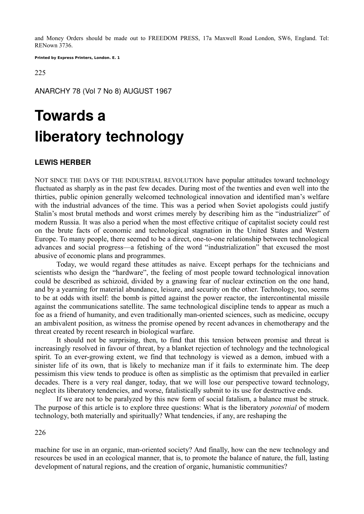and Money Orders should be made out to FREEDOM PRESS, 17a Maxwell Road London, SW6, England. Tel: RENown 3736.

**Printed by Express Printers, London. E. 1**

225

ANARCHY 78 (Vol 7 No 8) AUGUST 1967

# **Towards a liberatory technology**

#### **LEWIS HERBER**

NOT SINCE THE DAYS OF THE INDUSTRIAL REVOLUTION have popular attitudes toward technology fluctuated as sharply as in the past few decades. During most of the twenties and even well into the thirties, public opinion generally welcomed technological innovation and identified man's welfare with the industrial advances of the time. This was a period when Soviet apologists could justify Stalin's most brutal methods and worst crimes merely by describing him as the "industrializer" of modern Russia. It was also a period when the most effective critique of capitalist society could rest on the brute facts of economic and technological stagnation in the United States and Western Europe. To many people, there seemed to be a direct, one-to-one relationship between technological advances and social progress—a fetishing of the word "industrialization" that excused the most abusive of economic plans and programmes.

Today, we would regard these attitudes as naive. Except perhaps for the technicians and scientists who design the "hardware", the feeling of most people toward technological innovation could be described as schizoid, divided by a gnawing fear of nuclear extinction on the one hand, and by a yearning for material abundance, leisure, and security on the other. Technology, too, seems to be at odds with itself: the bomb is pitted against the power reactor, the intercontinental missile against the communications satellite. The same technological discipline tends to appear as much a foe as a friend of humanity, and even traditionally man-oriented sciences, such as medicine, occupy an ambivalent position, as witness the promise opened by recent advances in chemotherapy and the threat created by recent research in biological warfare.

It should not be surprising, then, to find that this tension between promise and threat is increasingly resolved in favour of threat, by a blanket rejection of technology and the technological spirit. To an ever-growing extent, we find that technology is viewed as a demon, imbued with a sinister life of its own, that is likely to mechanize man if it fails to exterminate him. The deep pessimism this view tends to produce is often as simplistic as the optimism that prevailed in earlier decades. There is a very real danger, today, that we will lose our perspective toward technology, neglect its liberatory tendencies, and worse, fatalistically submit to its use for destructive ends.

If we are not to be paralyzed by this new form of social fatalism, a balance must be struck. The purpose of this article is to explore three questions: What is the liberatory *potential* of modern technology, both materially and spiritually? What tendencies, if any, are reshaping the

226

machine for use in an organic, man-oriented society? And finally, how can the new technology and resources be used in an ecological manner, that is, to promote the balance of nature, the full, lasting development of natural regions, and the creation of organic, humanistic communities?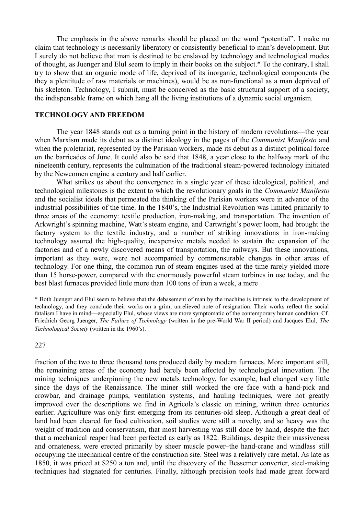The emphasis in the above remarks should be placed on the word "potential". I make no claim that technology is necessarily liberatory or consistently beneficial to man's development. But I surely do not believe that man is destined to be enslaved by technology and technological modes of thought, as Juenger and Elul seem to imply in their books on the subject.\* To the contrary, I shall try to show that an organic mode of life, deprived of its inorganic, technological components (be they a plentitude of raw materials or machines), would be as non-functional as a man deprived of his skeleton. Technology, I submit, must be conceived as the basic structural support of a society, the indispensable frame on which hang all the living institutions of a dynamic social organism.

#### **TECHNOLOGY AND FREEDOM**

The year 1848 stands out as a turning point in the history of modern revolutions—the year when Marxism made its debut as a distinct ideology in the pages of the *Communist Manifesto* and when the proletariat, represented by the Parisian workers, made its debut as a distinct political force on the barricades of June. It could also be said that 1848, a year close to the halfway mark of the nineteenth century, represents the culmination of the traditional steam-powered technology initiated by the Newcomen engine a century and half earlier.

What strikes us about the convergence in a single year of these ideological, political, and technological milestones is the extent to which the revolutionary goals in the *Communist Manifesto* and the socialist ideals that permeated the thinking of the Parisian workers were in advance of the industrial possibilities of the time. In the 1840's, the Industrial Revolution was limited primarily to three areas of the economy: textile production, iron-making, and transportation. The invention of Arkwright's spinning machine, Watt's steam engine, and Cartwright's power loom, had brought the factory system to the textile industry, and a number of striking innovations in iron-making technology assured the high-quality, inexpensive metals needed to sustain the expansion of the factories and of a newly discovered means of transportation, the railways. But these innovations, important as they were, were not accompanied by commensurable changes in other areas of technology. For one thing, the common run of steam engines used at the time rarely yielded more than 15 horse-power, compared with the enormously powerful steam turbines in use today, and the best blast furnaces provided little more than 100 tons of iron a week, a mere

\* Both Juenger and Elul seem to believe that the debasement of man by the machine is intrinsic to the development of technology, and they conclude their works on a grim, unrelieved note of resignation. Their works reflect the social fatalism I have in mind—especially Elul, whose views are more symptomatic of the contemporary human condition. Cf. Friedrich Georg Juenger, *The Failure of Technology* (written in the pre-World War II period) and Jacques Elul, *The Technological Society* (written in the 1960's).

227

fraction of the two to three thousand tons produced daily by modern furnaces. More important still, the remaining areas of the economy had barely been affected by technological innovation. The mining techniques underpinning the new metals technology, for example, had changed very little since the days of the Renaissance. The miner still worked the ore face with a hand-pick and crowbar, and drainage pumps, ventilation systems, and hauling techniques, were not greatly improved over the descriptions we find in Agricola's classic on mining, written three centuries earlier. Agriculture was only first emerging from its centuries-old sleep. Although a great deal of land had been cleared for food cultivation, soil studies were still a novelty, and so heavy was the weight of tradition and conservatism, that most harvesting was still done by hand, despite the fact that a mechanical reaper had been perfected as early as 1822. Buildings, despite their massiveness and ornateness, were erected primarily by sheer muscle power–the hand-crane and windlass still occupying the mechanical centre of the construction site. Steel was a relatively rare metal. As late as 1850, it was priced at \$250 a ton and, until the discovery of the Bessemer converter, steel-making techniques had stagnated for centuries. Finally, although precision tools had made great forward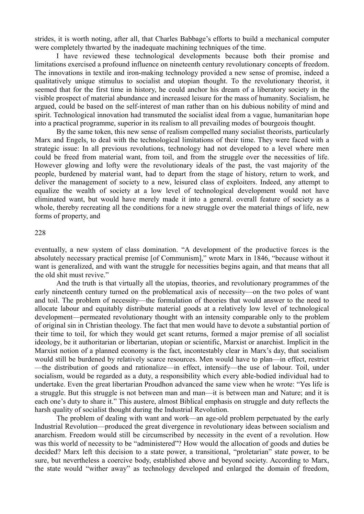strides, it is worth noting, after all, that Charles Babbage's efforts to build a mechanical computer were completely thwarted by the inadequate machining techniques of the time.

I have reviewed these technological developments because both their promise and limitations exercised a profound influence on nineteenth century revolutionary concepts of freedom. The innovations in textile and iron-making technology provided a new sense of promise, indeed a qualitatively unique stimulus to socialist and utopian thought. To the revolutionary theorist, it seemed that for the first time in history, he could anchor his dream of a liberatory society in the visible prospect of material abundance and increased leisure for the mass of humanity. Socialism, he argued, could be based on the self-interest of man rather than on his dubious nobility of mind and spirit. Technological innovation had transmuted the socialist ideal from a vague, humanitarian hope into a practical programme, superior in its realism to all prevailing modes of bourgeois thought.

By the same token, this new sense of realism compelled many socialist theorists, particularly Marx and Engels, to deal with the technological limitations of their time. They were faced with a strategic issue: In all previous revolutions, technology had not developed to a level where men could be freed from material want, from toil, and from the struggle over the necessities of life. However glowing and lofty were the revolutionary ideals of the past, the vast majority of the people, burdened by material want, had to depart from the stage of history, return to work, and deliver the management of society to a new, leisured class of exploiters. Indeed, any attempt to equalize the wealth of society at a low level of technological development would not have eliminated want, but would have merely made it into a general. overall feature of society as a whole, thereby recreating all the conditions for a new struggle over the material things of life, new forms of property, and

#### 228

eventually, a new system of class domination. "A development of the productive forces is the absolutely necessary practical premise [of Communism]," wrote Marx in 1846, "because without it want is generalized, and with want the struggle for necessities begins again, and that means that all the old shit must revive."

And the truth is that virtually all the utopias, theories, and revolutionary programmes of the early nineteenth century turned on the problematical axis of necessity—on the two poles of want and toil. The problem of necessity—the formulation of theories that would answer to the need to allocate labour and equitably distribute material goods at a relatively low level of technological development—permeated revolutionary thought with an intensity comparable only to the problem of original sin in Christian theology. The fact that men would have to devote a substantial portion of their time to toil, for which they would get scant returns, formed a major premise of all socialist ideology, be it authoritarian or libertarian, utopian or scientific, Marxist or anarchist. Implicit in the Marxist notion of a planned economy is the fact, incontestably clear in Marx's day, that socialism would still be burdened by relatively scarce resources. Men would have to plan—in effect, restrict —the distribution of goods and rationalize—in effect, intensify—the use of labour. Toil, under socialism, would be regarded as a duty, a responsibility which every able-bodied individual had to undertake. Even the great libertarian Proudhon advanced the same view when he wrote: "Yes life is a struggle. But this struggle is not between man and man—it is between man and Nature; and it is each one's duty to share it." This austere, almost Biblical emphasis on struggle and duty reflects the harsh quality of socialist thought during the Industrial Revolution.

The problem of dealing with want and work—an age-old problem perpetuated by the early Industrial Revolution—produced the great divergence in revolutionary ideas between socialism and anarchism. Freedom would still be circumscribed by necessity in the event of a revolution. How was this world of necessity to be "administered"? How would the allocation of goods and duties be decided? Marx left this decision to a state power, a transitional, "proletarian" state power, to be sure, but nevertheless a coercive body, established above and beyond society. According to Marx, the state would "wither away" as technology developed and enlarged the domain of freedom,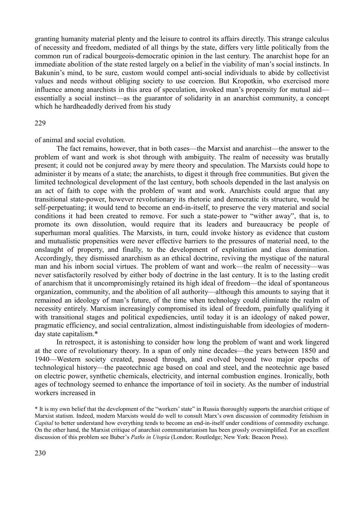granting humanity material plenty and the leisure to control its affairs directly. This strange calculus of necessity and freedom, mediated of all things by the state, differs very little politically from the common run of radical bourgeois-democratic opinion in the last century. The anarchist hope for an immediate abolition of the state rested largely on a belief in the viability of man's social instincts. In Bakunin's mind, to be sure, custom would compel anti-social individuals to abide by collectivist values and needs without obliging society to use coercion. But Kropotkin, who exercised more influence among anarchists in this area of speculation, invoked man's propensity for mutual aid essentially a social instinct—as the guarantor of solidarity in an anarchist community, a concept which he hardheadedly derived from his study

#### 229

of animal and social evolution.

The fact remains, however, that in both cases—the Marxist and anarchist—the answer to the problem of want and work is shot through with ambiguity. The realm of necessity was brutally present; it could not be conjured away by mere theory and speculation. The Marxists could hope to administer it by means of a state; the anarchists, to digest it through free communities. But given the limited technological development of the last century, both schools depended in the last analysis on an act of faith to cope with the problem of want and work. Anarchists could argue that any transitional state-power, however revolutionary its rhetoric and democratic its structure, would be self-perpetuating; it would tend to become an end-in-itself, to preserve the very material and social conditions it had been created to remove. For such a state-power to "wither away", that is, to promote its own dissolution, would require that its leaders and bureaucracy be people of superhuman moral qualities. The Marxists, in turn, could invoke history as evidence that custom and mutualistic propensities were never effective barriers to the pressures of material need, to the onslaught of property, and finally, to the development of exploitation and class domination. Accordingly, they dismissed anarchism as an ethical doctrine, reviving the mystique of the natural man and his inborn social virtues. The problem of want and work—the realm of necessity—was never satisfactorily resolved by either body of doctrine in the last century. It is to the lasting credit of anarchism that it uncompromisingly retained its high ideal of freedom—the ideal of spontaneous organization, community, and the abolition of all authority—although this amounts to saying that it remained an ideology of man's future, of the time when technology could eliminate the realm of necessity entirely. Marxism increasingly compromised its ideal of freedom, painfully qualifying it with transitional stages and political expediencies, until today it is an ideology of naked power, pragmatic efficiency, and social centralization, almost indistinguishable from ideologies of modernday state capitalism.\*

In retrospect, it is astonishing to consider how long the problem of want and work lingered at the core of revolutionary theory. In a span of only nine decades—the years between 1850 and 1940—Western society created, passed through, and evolved beyond two major epochs of technological history—the paeotechnic age based on coal and steel, and the neotechnic age based on electric power, synthetic chemicals, electricity, and internal combustion engines. Ironically, both ages of technology seemed to enhance the importance of toil in society. As the number of industrial workers increased in

<sup>\*</sup> It is my own belief that the development of the "workers' state" in Russia thoroughly supports the anarchist critique of Marxist statism. Indeed, modern Marxists would do well to consult Marx's own discussion of commodity fetishism in *Capital* to better understand how everything tends to become an end-in-itself under conditions of commodity exchange. On the other hand, the Marxist critique of anarchist communitarianism has been grossly oversimplified. For an excellent discussion of this problem see Buber's *Paths in Utopia* (London: Routledge; New York: Beacon Press).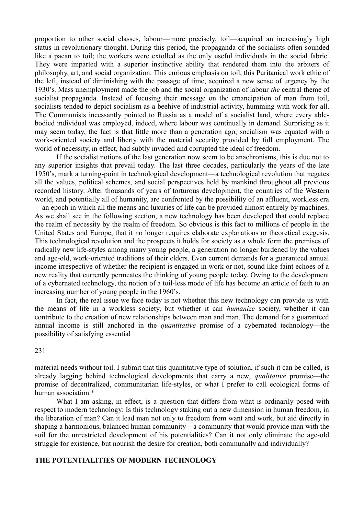proportion to other social classes, labour—more precisely, toil—acquired an increasingly high status in revolutionary thought. During this period, the propaganda of the socialists often sounded like a paean to toil; the workers were extolled as the only useful individuals in the social fabric. They were imparted with a superior instinctive ability that rendered them into the arbiters of philosophy, art, and social organization. This curious emphasis on toil, this Puritanical work ethic of the left, instead of diminishing with the passage of time, acquired a new sense of urgency by the 1930's. Mass unemployment made the job and the social organization of labour *the* central theme of socialist propaganda. Instead of focusing their message on the emancipation of man from toil, socialists tended to depict socialism as a beehive of industrial activity, humming with work for all. The Communists incessantly pointed to Russia as a model of a socialist land, where every ablebodied individual was employed, indeed, where labour was continually in demand. Surprising as it may seem today, the fact is that little more than a generation ago, socialism was equated with a work-oriented society and liberty with the material security provided by full employment. The world of necessity, in effect, had subtly invaded and corrupted the ideal of freedom.

If the socialist notions of the last generation now seem to be anachronisms, this is due not to any superior insights that prevail today. The last three decades, particularly the years of the late 1950's, mark a turning-point in technological development—a technological revolution that negates all the values, political schemes, and social perspectives held by mankind throughout all previous recorded history. After thousands of years of torturous development, the countries of the Western world, and potentially all of humanity, are confronted by the possibility of an affluent, workless era —an epoch in which all the means and luxuries of life can be provided almost entirely by machines. As we shall see in the following section, a new technology has been developed that could replace the realm of necessity by the realm of freedom. So obvious is this fact to millions of people in the United States and Europe, that it no longer requires elaborate explanations or theoretical exegesis. This technological revolution and the prospects it holds for society as a whole form the premises of radically new life-styles among many young people, a generation no longer burdened by the values and age-old, work-oriented traditions of their elders. Even current demands for a guaranteed annual income irrespective of whether the recipient is engaged in work or not, sound like faint echoes of a new reality that currently permeates the thinking of young people today. Owing to the development of a cybernated technology, the notion of a toil-less mode of life has become an article of faith to an increasing number of young people in the 1960's.

In fact, the real issue we face today is not whether this new technology can provide us with the means of life in a workless society, but whether it can *humanize* society, whether it can contribute to the creation of new relationships between man and man. The demand for a guaranteed annual income is still anchored in the *quantitative* promise of a cybernated technology—the possibility of satisfying essential

#### 231

material needs without toil. I submit that this quantitative type of solution, if such it can be called, is already lagging behind technological developments that carry a new, *qualitative* promise—the promise of decentralized, communitarian life-styles, or what I prefer to call ecological forms of human association.\*

What I am asking, in effect, is a question that differs from what is ordinarily posed with respect to modern technology: Is this technology staking out a new dimension in human freedom, in the liberation of man? Can it lead man not only to freedom from want and work, but aid directly in shaping a harmonious, balanced human community—a community that would provide man with the soil for the unrestricted development of his potentialities? Can it not only eliminate the age-old struggle for existence, but nourish the desire for creation, both communally and individually?

#### **THE POTENTIALITIES OF MODERN TECHNOLOGY**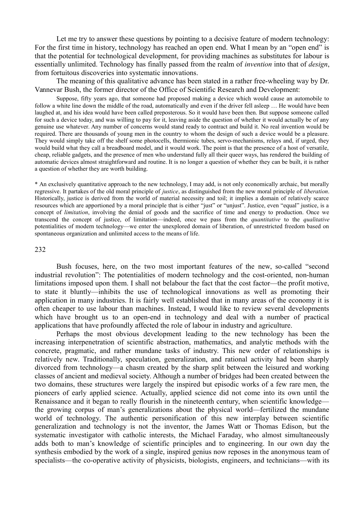Let me try to answer these questions by pointing to a decisive feature of modern technology: For the first time in history, technology has reached an open end. What I mean by an "open end" is that the potential for technological development, for providing machines as substitutes for labour is essentially unlimited. Technology has finally passed from the realm of *invention* into that of *design*, from fortuitous discoveries into systematic innovations.

The meaning of this qualitative advance has been stated in a rather free-wheeling way by Dr. Vannevar Bush, the former director of the Office of Scientific Research and Development:

Suppose, fifty years ago, that someone had proposed making a device which would cause an automobile to follow a white line down the middle of the road, automatically and even if the driver fell asleep ... He would have been laughed at, and his idea would have been called preposterous. So it would have been then. But suppose someone called for such a device today, and was willing to pay for it, leaving aside the question of whether it would actually be of any genuine use whatever. Any number of concerns would stand ready to contract and build it. No real invention would be required. There are thousands of young men in the country to whom the design of such a device would be a pleasure. They would simply take off the shelf some photocells, thermionic tubes, servo-mechanisms, relays and, if urged, they would build what they call a breadboard model, and it would work. The point is that the presence of a host of versatile, cheap, reliable gadgets, and the presence of men who understand fully all their queer ways, has rendered the building of automatic devices almost straightforward and routine. It is no longer a question of whether they can be built, it is rather a question of whether they are worth building.

\* An exclusively quantitative approach to the new technology, I may add, is not only economically archaic, but morally regressive. It partakes of the old moral principle of *justice*, as distinguished from the new moral principle of *liberation*. Historically, justice is derived from the world of material necessity and toil; it implies a domain of relatively scarce resources which are apportioned by a moral principle that is either "just" or "unjust". Justice, even "equal" justice, is a concept of *limitation*, involving the denial of goods and the sacrifice of time and energy to production. Once we transcend the concept of justice, of limitation—indeed, once we pass from the *quantitative* to the *qualitative* potentialities of modern technology—we enter the unexplored domain of liberation, of unrestricted freedom based on spontaneous organization and unlimited access to the means of life.

#### 232

Bush focuses, here, on the two most important features of the new, so-called "second industrial revolution": The potentialities of modern technology and the cost-oriented, non-human limitations imposed upon them. I shall not belabour the fact that the cost factor—the profit motive, to state it bluntly—inhibits the use of technological innovations as well as promoting their application in many industries. It is fairly well established that in many areas of the economy it is often cheaper to use labour than machines. Instead, I would like to review several developments which have brought us to an open-end in technology and deal with a number of practical applications that have profoundly affected the role of labour in industry and agriculture.

Perhaps the most obvious development leading to the new technology has been the increasing interpenetration of scientific abstraction, mathematics, and analytic methods with the concrete, pragmatic, and rather mundane tasks of industry. This new order of relationships is relatively new. Traditionally, speculation, generalization, and rational activity had been sharply divorced from technology—a chasm created by the sharp split between the leisured and working classes of ancient and medieval society. Although a number of bridges had been created between the two domains, these structures were largely the inspired but episodic works of a few rare men, the pioneers of early applied science. Actually, applied science did not come into its own until the Renaissance and it began to really flourish in the nineteenth century, when scientific knowledge the growing corpus of man's generalizations about the physical world—fertilized the mundane world of technology. The authentic personification of this new interplay between scientific generalization and technology is not the inventor, the James Watt or Thomas Edison, but the systematic investigator with catholic interests, the Michael Faraday, who almost simultaneously adds both to man's knowledge of scientific principles and to engineering. In our own day the synthesis embodied by the work of a single, inspired genius now reposes in the anonymous team of specialists—the co-operative activity of physicists, biologists, engineers, and technicians—with its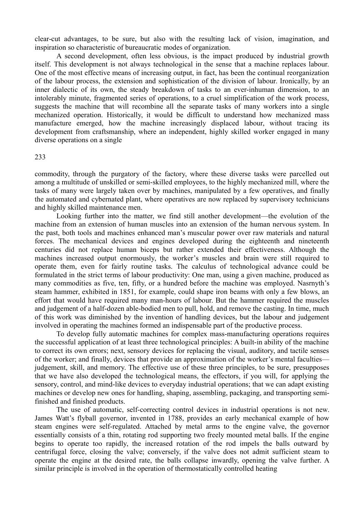clear-cut advantages, to be sure, but also with the resulting lack of vision, imagination, and inspiration so characteristic of bureaucratic modes of organization.

A second development, often less obvious, is the impact produced by industrial growth itself. This development is not always technological in the sense that a machine replaces labour. One of the most effective means of increasing output, in fact, has been the continual reorganization of the labour process, the extension and sophistication of the division of labour. Ironically, by an inner dialectic of its own, the steady breakdown of tasks to an ever-inhuman dimension, to an intolerably minute, fragmented series of operations, to a cruel simplification of the work process, suggests the machine that will recombine all the separate tasks of many workers into a single mechanized operation. Historically, it would be difficult to understand how mechanized mass manufacture emerged, how the machine increasingly displaced labour, without tracing its development from craftsmanship, where an independent, highly skilled worker engaged in many diverse operations on a single

#### 233

commodity, through the purgatory of the factory, where these diverse tasks were parcelled out among a multitude of unskilled or semi-skilled employees, to the highly mechanized mill, where the tasks of many were largely taken over by machines, manipulated by a few operatives, and finally the automated and cybernated plant, where operatives are now replaced by supervisory technicians and highly skilled maintenance men.

Looking further into the matter, we find still another development—the evolution of the machine from an extension of human muscles into an extension of the human nervous system. In the past, both tools and machines enhanced man's muscular power over raw materials and natural forces. The mechanical devices and engines developed during the eighteenth and nineteenth centuries did not replace human biceps but rather extended their effectiveness. Although the machines increased output enormously, the worker's muscles and brain were still required to operate them, even for fairly routine tasks. The calculus of technological advance could be formulated in the strict terms of labour productivity: One man, using a given machine, produced as many commodities as five, ten, fifty, or a hundred before the machine was employed. Nasrnyth's steam hammer, exhibited in 1851, for example, could shape iron beams with only a few blows, an effort that would have required many man-hours of labour. But the hammer required the muscles and judgement of a half-dozen able-bodied men to pull, hold, and remove the casting. In time, much of this work was diminished by the invention of handling devices, but the labour and judgement involved in operating the machines formed an indispensable part of the productive process.

To develop fully automatic machines for complex mass-manufacturing operations requires the successful application of at least three technological principles: A built-in ability of the machine to correct its own errors; next, sensory devices for replacing the visual, auditory, and tactile senses of the worker; and finally, devices that provide an approximation of the worker's mental faculties judgement, skill, and memory. The effective use of these three principles, to be sure, presupposes that we have also developed the technological means, the effectors, if you will, for applying the sensory, control, and mind-like devices to everyday industrial operations; that we can adapt existing machines or develop new ones for handling, shaping, assembling, packaging, and transporting semifinished and finished products.

The use of automatic, self-correcting control devices in industrial operations is not new. James Watt's flyball governor, invented in 1788, provides an early mechanical example of how steam engines were self-regulated. Attached by metal arms to the engine valve, the governor essentially consists of a thin, rotating rod supporting two freely mounted metal balls. If the engine begins to operate too rapidly, the increased rotation of the rod impels the balls outward by centrifugal force, closing the valve; conversely, if the valve does not admit sufficient steam to operate the engine at the desired rate, the balls collapse inwardly, opening the valve further. A similar principle is involved in the operation of thermostatically controlled heating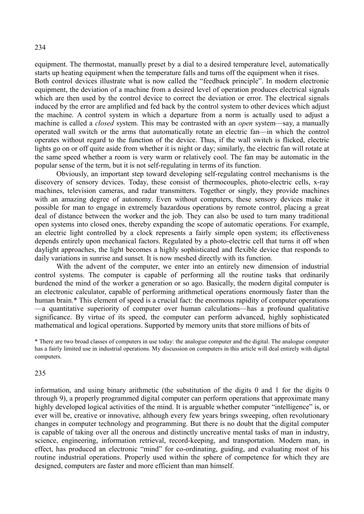equipment. The thermostat, manually preset by a dial to a desired temperature level, automatically starts up heating equipment when the temperature falls and turns off the equipment when it rises. Both control devices illustrate what is now called the "feedback principle". In modern electronic equipment, the deviation of a machine from a desired level of operation produces electrical signals which are then used by the control device to correct the deviation or error. The electrical signals induced by the error are amplified and fed back by the control system to other devices which adjust the machine. A control system in which a departure from a norm is actually used to adjust a machine is called a *closed* system. This may be contrasted with an *open* system—say, a manually operated wall switch or the arms that automatically rotate an electric fan—in which the control operates without regard to the function of the device. Thus, if the wall switch is flicked, electric lights go on or off quite aside from whether it is night or day; similarly, the electric fan will rotate at the same speed whether a room is very warm or relatively cool. The fan may be automatic in the popular sense of the term, but it is not self-regulating in terms of its function.

Obviously, an important step toward developing self-regulating control mechanisms is the discovery of sensory devices. Today, these consist of thermocouples, photo-electric cells, x-ray machines, television cameras, and radar transmitters. Together or singly, they provide machines with an amazing degree of autonomy. Even without computers, these sensory devices make it possible for man to engage in extremely hazardous operations by remote control, placing a great deal of distance between the worker and the job. They can also be used to turn many traditional open systems into closed ones, thereby expanding the scope of automatic operations. For example, an electric light controlled by a clock represents a fairly simple open system; its effectiveness depends entirely upon mechanical factors. Regulated by a photo-electric cell that turns it off when daylight approaches, the light becomes a highly sophisticated and flexible device that responds to daily variations in sunrise and sunset. It is now meshed directly with its function.

With the advent of the computer, we enter into an entirely new dimension of industrial control systems. The computer is capable of performing all the routine tasks that ordinarily burdened the mind of the worker a generation or so ago. Basically, the modern digital computer is an electronic calculator, capable of performing arithmetical operations enormously faster than the human brain.\* This element of speed is a crucial fact: the enormous rapidity of computer operations —a quantitative superiority of computer over human calculations—has a profound qualitative significance. By virtue of its speed, the computer can perform advanced, highly sophisticated mathematical and logical operations. Supported by memory units that store millions of bits of

\* There are two broad classes of computers in use today: the analogue computer and the digital. The analogue computer has a fairly limited use in industrial operations. My discussion on computers in this article will deal entirely with digital computers.

#### 235

information, and using binary arithmetic (the substitution of the digits 0 and 1 for the digits 0 through 9), a properly programmed digital computer can perform operations that approximate many highly developed logical activities of the mind. It is arguable whether computer "intelligence" is, or ever will be, creative or innovative, although every few years brings sweeping, often revolutionary changes in computer technology and programming. But there is no doubt that the digital computer is capable of taking over all the onerous and distinctly uncreative mental tasks of man in industry, science, engineering, information retrieval, record-keeping, and transportation. Modern man, in effect, has produced an electronic "mind" for co-ordinating, guiding, and evaluating most of his routine industrial operations. Properly used within the sphere of competence for which they are designed, computers are faster and more efficient than man himself.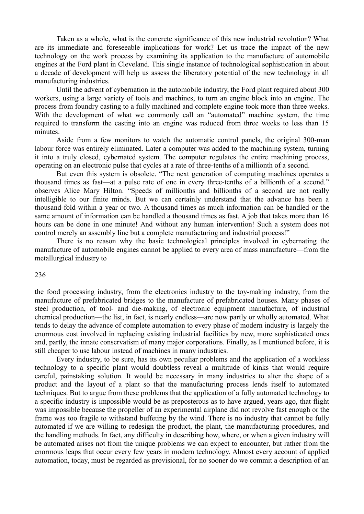Taken as a whole, what is the concrete significance of this new industrial revolution? What are its immediate and foreseeable implications for work? Let us trace the impact of the new technology on the work process by examining its application to the manufacture of automobile engines at the Ford plant in Cleveland. This single instance of technological sophistication in about a decade of development will help us assess the liberatory potential of the new technology in all manufacturing industries.

Until the advent of cybernation in the automobile industry, the Ford plant required about 300 workers, using a large variety of tools and machines, to turn an engine block into an engine. The process from foundry casting to a fully machined and complete engine took more than three weeks. With the development of what we commonly call an "automated" machine system, the time required to transform the casting into an engine was reduced from three weeks to less than 15 minutes.

Aside from a few monitors to watch the automatic control panels, the original 300-man labour force was entirely eliminated. Later a computer was added to the machining system, turning it into a truly closed, cybernated system. The computer regulates the entire machining process, operating on an electronic pulse that cycles at a rate of three-tenths of a millionth of a second.

But even this system is obsolete. "The next generation of computing machines operates a thousand times as fast—at a pulse rate of one in every three-tenths of a billionth of a second." observes Alice Mary Hilton. "Speeds of millionths and billionths of a second are not really intelligible to our finite minds. But we can certainly understand that the advance has been a thousand-fold-within a year or two. A thousand times as much information can be handled or the same amount of information can be handled a thousand times as fast. A job that takes more than 16 hours can be done in one minute! And without any human intervention! Such a system does not control merely an assembly line but a complete manufacturing and industrial process!"

There is no reason why the basic technological principles involved in cybernating the manufacture of automobile engines cannot be applied to every area of mass manufacture—from the metallurgical industry to

#### 236

the food processing industry, from the electronics industry to the toy-making industry, from the manufacture of prefabricated bridges to the manufacture of prefabricated houses. Many phases of steel production, of tool- and die-making, of electronic equipment manufacture, of industrial chemical production—the list, in fact, is nearly endless—are now partly or wholly automated. What tends to delay the advance of complete automation to every phase of modern industry is largely the enormous cost involved in replacing existing industrial facilities by new, more sophisticated ones and, partly, the innate conservatism of many major corporations. Finally, as I mentioned before, it is still cheaper to use labour instead of machines in many industries.

Every industry, to be sure, has its own peculiar problems and the application of a workless technology to a specific plant would doubtless reveal a multitude of kinks that would require careful, painstaking solution. It would be necessary in many industries to alter the shape of a product and the layout of a plant so that the manufacturing process lends itself to automated techniques. But to argue from these problems that the application of a fully automated technology to a specific industry is impossible would be as preposterous as to have argued, years ago, that flight was impossible because the propeller of an experimental airplane did not revolve fast enough or the frame was too fragile to withstand buffeting by the wind. There is no industry that cannot be fully automated if we are willing to redesign the product, the plant, the manufacturing procedures, and the handling methods. In fact, any difficulty in describing how, where, or when a given industry will be automated arises not from the unique problems we can expect to encounter, but rather from the enormous leaps that occur every few years in modern technology. Almost every account of applied automation, today, must be regarded as provisional, for no sooner do we commit a description of an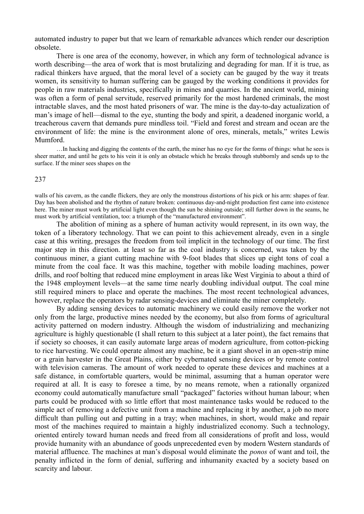automated industry to paper but that we learn of remarkable advances which render our description obsolete.

There is one area of the economy, however, in which any form of technological advance is worth describing—the area of work that is most brutalizing and degrading for man. If it is true, as radical thinkers have argued, that the moral level of a society can be gauged by the way it treats women, its sensitivity to human suffering can be gauged by the working conditions it provides for people in raw materials industries, specifically in mines and quarries. In the ancient world, mining was often a form of penal servitude, reserved primarily for the most hardened criminals, the most intractable slaves, and the most hated prisoners of war. The mine is the day-to-day actualization of man's image of hell—dismal to the eye, stunting the body and spirit, a deadened inorganic world, a treacherous cavern that demands pure mindless toil. "Field and forest and stream and ocean are the environment of life: the mine is the environment alone of ores, minerals, metals," writes Lewis Mumford.

…In hacking and digging the contents of the earth, the miner has no eye for the forms of things: what he sees is sheer matter, and until he gets to his vein it is only an obstacle which he breaks through stubbornly and sends up to the surface. If the miner sees shapes on the

#### 237

walls of his cavern, as the candle flickers, they are only the monstrous distortions of his pick or his arm: shapes of fear. Day has been abolished and the rhythm of nature broken: continuous day-and-night production first came into existence here. The miner must work by artificial light even though the sun be shining outside; still further down in the seams, he must work by artificial ventilation, too: a triumph of the "manufactured environment".

The abolition of mining as a sphere of human activity would represent, in its own way, the token of a liberatory technology. That we can point to this achievement already, even in a single case at this writing, presages the freedom from toil implicit in the technology of our time. The first major step in this direction. at least so far as the coal industry is concerned, was taken by the continuous miner, a giant cutting machine with 9-foot blades that slices up eight tons of coal a minute from the coal face. It was this machine, together with mobile loading machines, power drills, and roof bolting that reduced mine employment in areas like West Virginia to about a third of the 1948 employment levels—at the same time nearly doubling individual output. The coal mine still required miners to place and operate the machines. The most recent technological advances, however, replace the operators by radar sensing-devices and eliminate the miner completely.

By adding sensing devices to automatic machinery we could easily remove the worker not only from the large, productive mines needed by the economy, but also from forms of agricultural activity patterned on modern industry. Although the wisdom of industrializing and mechanizing agriculture is highly questionable (I shall return to this subject at a later point), the fact remains that if society so chooses, it can easily automate large areas of modern agriculture, from cotton-picking to rice harvesting. We could operate almost any machine, be it a giant shovel in an open-strip mine or a grain harvester in the Great Plains, either by cybernated sensing devices or by remote control with television cameras. The amount of work needed to operate these devices and machines at a safe distance, in comfortable quarters, would be minimal, assuming that a human operator were required at all. It is easy to foresee a time, by no means remote, when a rationally organized economy could automatically manufacture small "packaged" factories without human labour; when parts could be produced with so little effort that most maintenance tasks would be reduced to the simple act of removing a defective unit from a machine and replacing it by another, a job no more difficult than pulling out and putting in a tray; when machines, in short, would make and repair most of the machines required to maintain a highly industrialized economy. Such a technology, oriented entirely toward human needs and freed from all considerations of profit and loss, would provide humanity with an abundance of goods unprecedented even by modern Western standards of material affluence. The machines at man's disposal would eliminate the *ponos* of want and toil, the penalty inflicted in the form of denial, suffering and inhumanity exacted by a society based on scarcity and labour.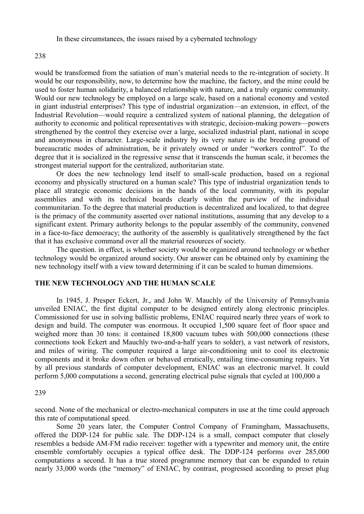In these circumstances, the issues raised by a cybernated technology

would be transformed from the satiation of man's material needs to the re-integration of society. It would be our responsibility, now, to determine how the machine, the factory, and the mine could be used to foster human solidarity, a balanced relationship with nature, and a truly organic community. Would our new technology be employed on a large scale, based on a national economy and vested in giant industrial enterprises? This type of industrial organization—an extension, in effect, of the Industrial Revolution—would require a centralized system of national planning, the delegation of authority to economic and political representatives with strategic, decision-making powers—powers strengthened by the control they exercise over a large, socialized industrial plant, national in scope and anonymous in character. Large-scale industry by its very nature is the breeding ground of bureaucratic modes of administration, be it privately owned or under "workers control". To the degree that it is socialized in the regressive sense that it transcends the human scale, it becomes the strongest material support for the centralized, authoritarian state.

Or does the new technology lend itself to small-scale production, based on a regional economy and physically structured on a human scale? This type of industrial organization tends to place all strategic economic decisions in the hands of the local community, with its popular assemblies and with its technical boards clearly within the purview of the individual communitarian. To the degree that material production is decentralized and localized, to that degree is the primacy of the community asserted over national institutions, assuming that any develop to a significant extent. Primary authority belongs to the popular assembly of the community, convened in a face-to-face democracy; the authority of the assembly is qualitatively strengthened by the fact that it has exclusive command over all the material resources of society.

The question. in effect, is whether society would be organized around technology or whether technology would be organized around society. Our answer can be obtained only by examining the new technology itself with a view toward determining if it can be scaled to human dimensions.

#### **THE NEW TECHNOLOGY AND THE HUMAN SCALE**

In 1945, J. Presper Eckert, Jr., and John W. Mauchly of the University of Pennsylvania unveiled ENIAC, the first digital computer to be designed entirely along electronic principles. Commissioned for use in solving ballistic problems, ENIAC required nearly three years of work to design and build. The computer was enormous. It occupied 1,500 square feet of floor space and weighed more than 30 tons: it contained 18,800 vacuum tubes with 500,000 connections (these connections took Eckert and Mauchly two-and-a-half years to solder), a vast network of resistors, and miles of wiring. The computer required a large air-conditioning unit to cool its electronic components and it broke down often or behaved erratically, entailing time-consuming repairs. Yet by all previous standards of computer development, ENIAC was an electronic marvel. It could perform 5,000 computations a second, generating electrical pulse signals that cycled at 100,000 a

239

second. None of the mechanical or electro-mechanical computers in use at the time could approach this rate of computational speed.

Some 20 years later, the Computer Control Company of Framingham, Massachusetts, offered the DDP-124 for public sale. The DDP-124 is a small, compact computer that closely resembles a bedside AM-FM radio receiver: together with a typewriter and memory unit, the entire ensemble comfortably occupies a typical office desk. The DDP-124 performs over 285,000 computations a second. It has a true stored programme memory that can be expanded to retain nearly 33,000 words (the "memory" of ENIAC, by contrast, progressed according to preset plug

238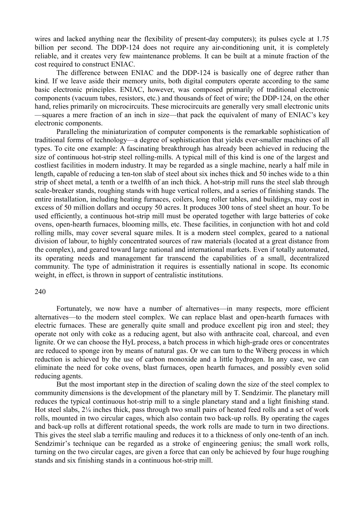wires and lacked anything near the flexibility of present-day computers); its pulses cycle at 1.75 billion per second. The DDP-124 does not require any air-conditioning unit, it is completely reliable, and it creates very few maintenance problems. It can be built at a minute fraction of the cost required to construct ENIAC.

The difference between ENIAC and the DDP-124 is basically one of degree rather than kind. If we leave aside their memory units, both digital computers operate according to the same basic electronic principles. ENIAC, however, was composed primarily of traditional electronic components (vacuum tubes, resistors, etc.) and thousands of feet of wire; the DDP-124, on the other hand, relies primarily on microcircuits. These microcircuits are generally very small electronic units —squares a mere fraction of an inch in size—that pack the equivalent of many of ENIAC's key electronic components.

Paralleling the miniaturization of computer components is the remarkable sophistication of traditional forms of technology—a degree of sophistication that yields ever-smaller machines of all types. To cite one example: A fascinating breakthrough has already been achieved in reducing the size of continuous hot-strip steel rolling-mills. A typical mill of this kind is one of the largest and costliest facilities in modern industry. It may be regarded as a single machine, nearly a half mile in length, capable of reducing a ten-ton slab of steel about six inches thick and 50 inches wide to a thin strip of sheet metal, a tenth or a twelfth of an inch thick. A hot-strip mill runs the steel slab through scale-breaker stands, roughing stands with huge vertical rollers, and a series of finishing stands. The entire installation, including heating furnaces, coilers, long roller tables, and buildings, may cost in excess of 50 million dollars and occupy 50 acres. It produces 300 tons of steel sheet an hour. To be used efficiently, a continuous hot-strip mill must be operated together with large batteries of coke ovens, open-hearth furnaces, blooming mills, etc. These facilities, in conjunction with hot and cold rolling mills, may cover several square miles. It is a modern steel complex, geared to a national division of labour, to highly concentrated sources of raw materials (located at a great distance from the complex), and geared toward large national and international markets. Even if totally automated, its operating needs and management far transcend the capabilities of a small, decentralized community. The type of administration it requires is essentially national in scope. Its economic weight, in effect, is thrown in support of centralistic institutions.

#### 240

Fortunately, we now have a number of alternatives—in many respects, more efficient alternatives—to the modern steel complex. We can replace blast and open-hearth furnaces with electric furnaces. These are generally quite small and produce excellent pig iron and steel; they operate not only with coke as a reducing agent, but also with anthracite coal, charcoal, and even lignite. Or we can choose the HyL process, a batch process in which high-grade ores or concentrates are reduced to sponge iron by means of natural gas. Or we can turn to the Wiberg process in which reduction is achieved by the use of carbon monoxide and a little hydrogen. In any case, we can eliminate the need for coke ovens, blast furnaces, open hearth furnaces, and possibly even solid reducing agents.

But the most important step in the direction of scaling down the size of the steel complex to community dimensions is the development of the planetary mill by T. Sendzimir. The planetary mill reduces the typical continuous hot-strip mill to a single planetary stand and a light finishing stand. Hot steel slabs, 2¼ inches thick, pass through two small pairs of heated feed rolls and a set of work rolls, mounted in two circular cages, which also contain two back-up rolls. By operating the cages and back-up rolls at different rotational speeds, the work rolls are made to turn in two directions. This gives the steel slab a terrific mauling and reduces it to a thickness of only one-tenth of an inch. Sendzimir's technique can be regarded as a stroke of engineering genius; the small work rolls, turning on the two circular cages, are given a force that can only be achieved by four huge roughing stands and six finishing stands in a continuous hot-strip mill.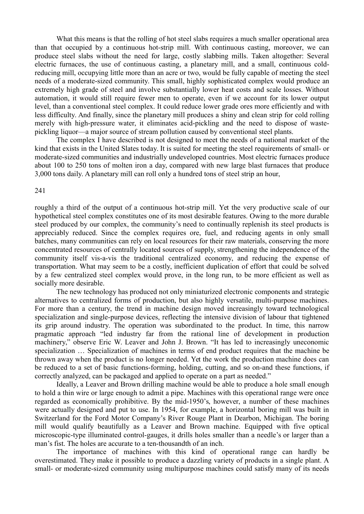What this means is that the rolling of hot steel slabs requires a much smaller operational area than that occupied by a continuous hot-strip mill. With continuous casting, moreover, we can produce steel slabs without the need for large, costly slabbing mills. Taken altogether: Several electric furnaces, the use of continuous casting, a planetary mill, and a small, continuous coldreducing mill, occupying little more than an acre or two, would be fully capable of meeting the steel needs of a moderate-sized community. This small, highly sophisticated complex would produce an extremely high grade of steel and involve substantially lower heat costs and scale losses. Without automation, it would still require fewer men to operate, even if we account for its lower output level, than a conventional steel complex. It could reduce lower grade ores more efficiently and with less difficulty. And finally, since the planetary mill produces a shiny and clean strip for cold rolling merely with high-pressure water, it eliminates acid-pickling and the need to dispose of wastepickling liquor—a major source of stream pollution caused by conventional steel plants.

The complex I have described is not designed to meet the needs of a national market of the kind that exists in the United Slates today. It is suited for meeting the steel requirements of small- or moderate-sized communities and industrially undeveloped countries. Most electric furnaces produce about 100 to 250 tons of molten iron a day, compared with new large blast furnaces that produce 3,000 tons daily. A planetary mill can roll only a hundred tons of steel strip an hour,

#### 241

roughly a third of the output of a continuous hot-strip mill. Yet the very productive scale of our hypothetical steel complex constitutes one of its most desirable features. Owing to the more durable steel produced by our complex, the community's need to continually replenish its steel products is appreciably reduced. Since the complex requires ore, fuel, and reducing agents in only small batches, many communities can rely on local resources for their raw materials, conserving the more concentrated resources of centrally located sources of supply, strengthening the independence of the community itself vis-a-vis the traditional centralized economy, and reducing the expense of transportation. What may seem to be a costly, inefficient duplication of effort that could be solved by a few centralized steel complex would prove, in the long run, to be more efficient as well as socially more desirable.

The new technology has produced not only miniaturized electronic components and strategic alternatives to centralized forms of production, but also highly versatile, multi-purpose machines. For more than a century, the trend in machine design moved increasingly toward technological specialization and single-purpose devices, reflecting the intensive division of labour that tightened its grip around industry. The operation was subordinated to the product. In time, this narrow pragmatic approach "led industry far from the rational line of development in production machinery," observe Eric W. Leaver and John J. Brown. "It has led to increasingly uneconomic specialization … Specialization of machines in terms of end product requires that the machine be thrown away when the product is no longer needed. Yet the work the production machine does can be reduced to a set of basic functions-forming, holding, cutting, and so on-and these functions, if correctly analyzed, can be packaged and applied to operate on a part as needed."

Ideally, a Leaver and Brown drilling machine would be able to produce a hole small enough to hold a thin wire or large enough to admit a pipe. Machines with this operational range were once regarded as economically prohibitive. By the mid-1950's, however, a number of these machines were actually designed and put to use. In 1954, for example, a horizontal boring mill was built in Switzerland for the Ford Motor Company's River Rouge Plant in Dearbon, Michigan. The boring mill would qualify beautifully as a Leaver and Brown machine. Equipped with five optical microscopic-type illuminated control-gauges, it drills holes smaller than a needle's or larger than a man's fist. The holes are accurate to a ten-thousandth of an inch.

The importance of machines with this kind of operational range can hardly be overestimated. They make it possible to produce a dazzling variety of products in a single plant. A small- or moderate-sized community using multipurpose machines could satisfy many of its needs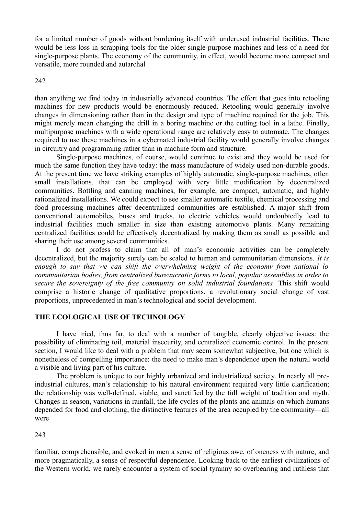for a limited number of goods without burdening itself with underused industrial facilities. There would be less loss in scrapping tools for the older single-purpose machines and less of a need for single-purpose plants. The economy of the community, in effect, would become more compact and versatile, more rounded and autarchal

242

than anything we find today in industrially advanced countries. The effort that goes into retooling machines for new products would be enormously reduced. Retooling would generally involve changes in dimensioning rather than in the design and type of machine required for the job. This might merely mean changing the drill in a boring machine or the cutting tool in a lathe. Finally, multipurpose machines with a wide operational range are relatively easy to automate. The changes required to use these machines in a cybernated industrial facility would generally involve changes in circuitry and programming rather than in machine form and structure.

Single-purpose machines, of course, would continue to exist and they would be used for much the same function they have today: the mass manufacture of widely used non-durable goods. At the present time we have striking examples of highly automatic, single-purpose machines, often small installations, that can be employed with very little modification by decentralized communities. Bottling and canning machines, for example, are compact, automatic, and highly rationalized installations. We could expect to see smaller automatic textile, chemical processing and food processing machines after decentralized communities are established. A major shift from conventional automobiles, buses and trucks, to electric vehicles would undoubtedly lead to industrial facilities much smaller in size than existing automotive plants. Many remaining centralized facilities could be effectively decentralized by making them as small as possible and sharing their use among several communities.

I do not profess to claim that all of man's economic activities can be completely decentralized, but the majority surely can be scaled to human and communitarian dimensions. *It is enough to say that we can shift the overwhelming weight of the economy from national lo communitarian bodies, from centralized bureaucratic forms to local, popular assemblies in order to secure the sovereignty of the free community on solid industrial foundations*. This shift would comprise a historic change of qualitative proportions, a revolutionary social change of vast proportions, unprecedented in man's technological and social development.

#### **THE ECOLOGICAL USE OF TECHNOLOGY**

I have tried, thus far, to deal with a number of tangible, clearly objective issues: the possibility of eliminating toil, material insecurity, and centralized economic control. In the present section, I would like to deal with a problem that may seem somewhat subjective, but one which is nonetheless of compelling importance: the need to make man's dependence upon the natural world a visible and living part of his culture.

The problem is unique to our highly urbanized and industrialized society. In nearly all preindustrial cultures, man's relationship to his natural environment required very little clarification; the relationship was well-defined, viable, and sanctified by the full weight of tradition and myth. Changes in season, variations in rainfall, the life cycles of the plants and animals on which humans depended for food and clothing, the distinctive features of the area occupied by the community—all were

#### 243

familiar, comprehensible, and evoked in men a sense of religious awe, of oneness with nature, and more pragmatically, a sense of respectful dependence. Looking back to the earliest civilizations of the Western world, we rarely encounter a system of social tyranny so overbearing and ruthless that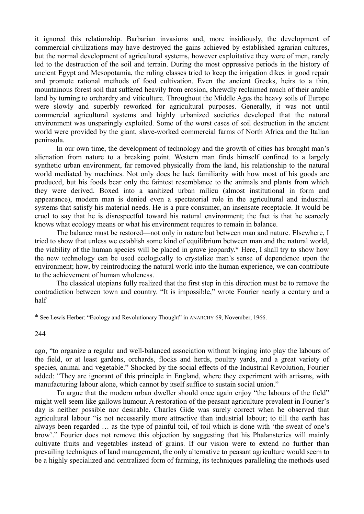it ignored this relationship. Barbarian invasions and, more insidiously, the development of commercial civilizations may have destroyed the gains achieved by established agrarian cultures, but the normal development of agricultural systems, however exploitative they were of men, rarely led to the destruction of the soil and terrain. During the most oppressive periods in the history of ancient Egypt and Mesopotamia, the ruling classes tried to keep the irrigation dikes in good repair and promote rational methods of food cultivation. Even the ancient Greeks, heirs to a thin, mountainous forest soil that suffered heavily from erosion, shrewdly reclaimed much of their arable land by turning to orchardry and viticulture. Throughout the Middle Ages the heavy soils of Europe were slowly and superbly reworked for agricultural purposes. Generally, it was not until commercial agricultural systems and highly urbanized societies developed that the natural environment was unsparingly exploited. Some of the worst cases of soil destruction in the ancient world were provided by the giant, slave-worked commercial farms of North Africa and the Italian peninsula.

In our own time, the development of technology and the growth of cities has brought man's alienation from nature to a breaking point. Western man finds himself confined to a largely synthetic urban environment, far removed physically from the land, his relationship to the natural world mediated by machines. Not only does he lack familiarity with how most of his goods are produced, but his foods bear only the faintest resemblance to the animals and plants from which they were derived. Boxed into a sanitized urban milieu (almost institutional in form and appearance), modern man is denied even a spectatorial role in the agricultural and industrial systems that satisfy his material needs. He is a pure consumer, an insensate receptacle. It would be cruel to say that he is disrespectful toward his natural environment; the fact is that he scarcely knows what ecology means or what his environment requires to remain in balance.

The balance must be restored—not only in nature but between man and nature. Elsewhere, I tried to show that unless we establish some kind of equilibrium between man and the natural world, the viability of the human species will be placed in grave jeopardy.\* Here, I shall try to show how the new technology can be used ecologically to crystalize man's sense of dependence upon the environment; how, by reintroducing the natural world into the human experience, we can contribute to the achievement of human wholeness.

The classical utopians fully realized that the first step in this direction must be to remove the contradiction between town and country. "It is impossible," wrote Fourier nearly a century and a half

\* See Lewis Herber: "Ecology and Revolutionary Thought" in ANARCHY 69, November, 1966.

#### 244

ago, "to organize a regular and well-balanced association without bringing into play the labours of the field, or at least gardens, orchards, flocks and herds, poultry yards, and a great variety of species, animal and vegetable." Shocked by the social effects of the Industrial Revolution, Fourier added: "They are ignorant of this principle in England, where they experiment with artisans, with manufacturing labour alone, which cannot by itself suffice to sustain social union."

To argue that the modern urban dweller should once again enjoy "the labours of the field" might well seem like gallows humour. A restoration of the peasant agriculture prevalent in Fourier's day is neither possible nor desirable. Charles Gide was surely correct when he observed that agricultural labour "is not necessarily more attractive than industrial labour; to till the earth has always been regarded … as the type of painful toil, of toil which is done with 'the sweat of one's brow'." Fourier does not remove this objection by suggesting that his Phalansteries will mainly cultivate fruits and vegetables instead of grains. If our vision were to extend no further than prevailing techniques of land management, the only alternative to peasant agriculture would seem to be a highly specialized and centralized form of farming, its techniques paralleling the methods used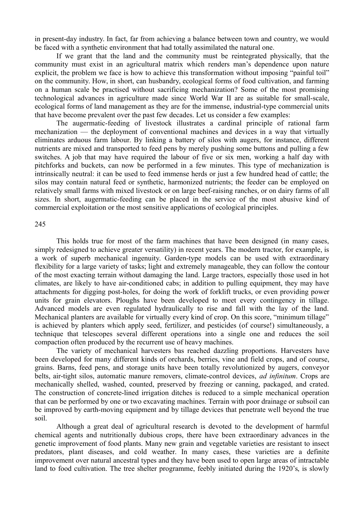in present-day industry. In fact, far from achieving a balance between town and country, we would be faced with a synthetic environment that had totally assimilated the natural one.

If we grant that the land and the community must be reintegrated physically, that the community must exist in an agricultural matrix which renders man's dependence upon nature explicit, the problem we face is how to achieve this transformation without imposing "painful toil" on the community. How, in short, can husbandry, ecological forms of food cultivation, and farming on a human scale be practised without sacrificing mechanization? Some of the most promising technological advances in agriculture made since World War II are as suitable for small-scale, ecological forms of land management as they are for the immense, industrial-type commercial units that have become prevalent over the past few decades. Let us consider a few examples:

The augermatic-feeding of livestock illustrates a cardinal principle of rational farm mechanization — the deployment of conventional machines and devices in a way that virtually eliminates arduous farm labour. By linking a battery of silos with augers, for instance, different nutrients are mixed and transported to feed pens by merely pushing some buttons and pulling a few switches. A job that may have required the labour of five or six men, working a half day with pitchforks and buckets, can now be performed in a few minutes. This type of mechanization is intrinsically neutral: it can be used to feed immense herds or just a few hundred head of cattle; the silos may contain natural feed or synthetic, harmonized nutrients; the feeder can be employed on relatively small farms with mixed livestock or on large beef-raising ranches, or on dairy farms of all sizes. In short, augermatic-feeding can be placed in the service of the most abusive kind of commercial exploitation or the most sensitive applications of ecological principles.

#### 245

This holds true for most of the farm machines that have been designed (in many cases, simply redesigned to achieve greater versatility) in recent years. The modern tractor, for example, is a work of superb mechanical ingenuity. Garden-type models can be used with extraordinary flexibility for a large variety of tasks; light and extremely manageable, they can follow the contour of the most exacting terrain without damaging the land. Large tractors, especially those used in hot climates, are likely to have air-conditioned cabs; in addition to pulling equipment, they may have attachments for digging post-holes, for doing the work of forklift trucks, or even providing power units for grain elevators. Ploughs have been developed to meet every contingency in tillage. Advanced models are even regulated hydraulically to rise and fall with the lay of the land. Mechanical planters are available for virtually every kind of crop. On this score, "minimum tillage" is achieved by planters which apply seed, fertilizer, and pesticides (of course!) simultaneously, a technique that telescopes several different operations into a single one and reduces the soil compaction often produced by the recurrent use of heavy machines.

The variety of mechanical harvesters bas reached dazzling proportions. Harvesters have been developed for many different kinds of orchards, berries, vine and field crops, and of course, grains. Barns, feed pens, and storage units have been totally revolutionized by augers, conveyor belts, air-tight silos, automatic manure removers, climate-control devices, *ad infinitum*. Crops are mechanically shelled, washed, counted, preserved by freezing or canning, packaged, and crated. The construction of concrete-lined irrigation ditches is reduced to a simple mechanical operation that can be performed by one or two excavating machines. Terrain with poor drainage or subsoil can be improved by earth-moving equipment and by tillage devices that penetrate well beyond the true soil.

Although a great deal of agricultural research is devoted to the development of harmful chemical agents and nutritionally dubious crops, there have been extraordinary advances in the genetic improvement of food plants. Many new grain and vegetable varieties are resistant to insect predators, plant diseases, and cold weather. In many cases, these varieties are a definite improvement over natural ancestral types and they have been used to open large areas of intractable land to food cultivation. The tree shelter programme, feebly initiated during the 1920's, is slowly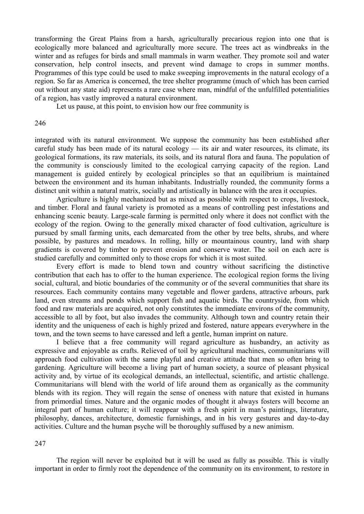transforming the Great Plains from a harsh, agriculturally precarious region into one that is ecologically more balanced and agriculturally more secure. The trees act as windbreaks in the winter and as refuges for birds and small mammals in warm weather. They promote soil and water conservation, help control insects, and prevent wind damage to crops in summer months. Programmes of this type could be used to make sweeping improvements in the natural ecology of a region. So far as America is concerned, the tree shelter programme (much of which has been carried out without any state aid) represents a rare case where man, mindful of the unfulfilled potentialities of a region, has vastly improved a natural environment.

Let us pause, at this point, to envision how our free community is

#### 246

integrated with its natural environment. We suppose the community has been established after careful study has been made of its natural ecology — its air and water resources, its climate, its geological formations, its raw materials, its soils, and its natural flora and fauna. The population of the community is consciously limited to the ecological carrying capacity of the region. Land management is guided entirely by ecological principles so that an equilibrium is maintained between the environment and its human inhabitants. Industrially rounded, the community forms a distinct unit within a natural matrix, socially and artistically in balance with the area it occupies.

Agriculture is highly mechanized but as mixed as possible with respect to crops, livestock, and timber. Floral and faunal variety is promoted as a means of controlling pest infestations and enhancing scenic beauty. Large-scale farming is permitted only where it does not conflict with the ecology of the region. Owing to the generally mixed character of food cultivation, agriculture is pursued by small farming units, each demarcated from the other by tree belts, shrubs, and where possible, by pastures and meadows. In rolling, hilly or mountainous country, land with sharp gradients is covered by timber to prevent erosion and conserve water. The soil on each acre is studied carefully and committed only to those crops for which it is most suited.

Every effort is made to blend town and country without sacrificing the distinctive contribution that each has to offer to the human experience. The ecological region forms the living social, cultural, and biotic boundaries of the community or of the several communities that share its resources. Each community contains many vegetable and flower gardens, attractive arbours, park land, even streams and ponds which support fish and aquatic birds. The countryside, from which food and raw materials are acquired, not only constitutes the immediate environs of the community, accessible to all by foot, but also invades the community. Although town and country retain their identity and the uniqueness of each is highly prized and fostered, nature appears everywhere in the town, and the town seems to have caressed and left a gentle, human imprint on nature.

I believe that a free community will regard agriculture as husbandry, an activity as expressive and enjoyable as crafts. Relieved of toil by agricultural machines, communitarians will approach food cultivation with the same playful and creative attitude that men so often bring to gardening. Agriculture will become a living part of human society, a source of pleasant physical activity and, by virtue of its ecological demands, an intellectual, scientific, and artistic challenge. Communitarians will blend with the world of life around them as organically as the community blends with its region. They will regain the sense of oneness with nature that existed in humans from primordial times. Nature and the organic modes of thought it always fosters will become an integral part of human culture; it will reappear with a fresh spirit in man's paintings, literature, philosophy, dances, architecture, domestic furnishings, and in his very gestures and day-to-day activities. Culture and the human psyche will be thoroughly suffused by a new animism.

#### 247

The region will never be exploited but it will be used as fully as possible. This is vitally important in order to firmly root the dependence of the community on its environment, to restore in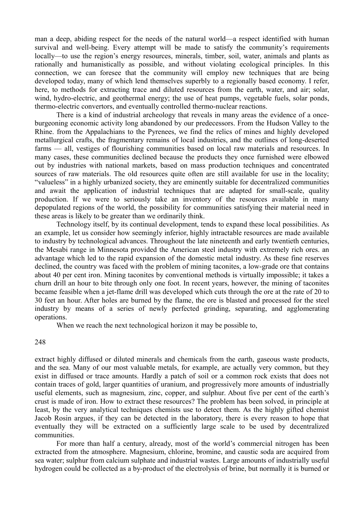man a deep, abiding respect for the needs of the natural world—a respect identified with human survival and well-being. Every attempt will be made to satisfy the community's requirements locally—to use the region's energy resources, minerals, timber, soil, water, animals and plants as rationally and humanistically as possible, and without violating ecological principles. In this connection, we can foresee that the community will employ new techniques that are being developed today, many of which lend themselves superbly to a regionally based economy. I refer, here, to methods for extracting trace and diluted resources from the earth, water, and air; solar, wind, hydro-electric, and geothermal energy; the use of heat pumps, vegetable fuels, solar ponds, thermo-electric convertors, and eventually controlled thermo-nuclear reactions.

There is a kind of industrial archeology that reveals in many areas the evidence of a onceburgeoning economic activity long abandoned by our predecessors. From the Hudson Valley to the Rhine. from the Appalachians to the Pyrenees, we find the relics of mines and highly developed metallurgical crafts, the fragmentary remains of local industries, and the outlines of long-deserted farms — all, vestiges of flourishing communities based on local raw materials and resources. In many cases, these communities declined because the products they once furnished were elbowed out by industries with national markets, based on mass production techniques and concentrated sources of raw materials. The old resources quite often are still available for use in the locality; "valueless" in a highly urbanized society, they are eminently suitable for decentralized communities and await the application of industrial techniques that are adapted for small-scale, quality production. If we were to seriously take an inventory of the resources available in many depopulated regions of the world, the possibility for communities satisfying their material need in these areas is likely to be greater than we ordinarily think.

Technology itself, by its continual development, tends to expand these local possibilities. As an example, let us consider how seemingly inferior, highly intractable resources are made available to industry by technological advances. Throughout the late nineteenth and early twentieth centuries, the Mesabi range in Minnesota provided the American steel industry with extremely rich ores. an advantage which led to the rapid expansion of the domestic metal industry. As these fine reserves declined, the country was faced with the problem of mining taconites, a low-grade ore that contains about 40 per cent iron. Mining taconites by conventional methods is virtually impossible; it takes a churn drill an hour to bite through only one foot. In recent years, however, the mining of taconites became feasible when a jet-flame drill was developed which cuts through the ore at the rate of 20 to 30 feet an hour. After holes are burned by the flame, the ore is blasted and processed for the steel industry by means of a series of newly perfected grinding, separating, and agglomerating operations.

When we reach the next technological horizon it may be possible to,

248

extract highly diffused or diluted minerals and chemicals from the earth, gaseous waste products, and the sea. Many of our most valuable metals, for example, are actually very common, but they exist in diffused or trace amounts. Hardly a patch of soil or a common rock exists that does not contain traces of gold, larger quantities of uranium, and progressively more amounts of industrially useful elements, such as magnesium, zinc, copper, and sulphur. About five per cent of the earth's crust is made of iron. How to extract these resources? The problem has been solved, in principle at least, by the very analytical techniques chemists use to detect them. As the highly gifted chemist Jacob Rosin argues, if they can be detected in the laboratory, there is every reason to hope that eventually they will be extracted on a sufficiently large scale to be used by decentralized communities.

For more than half a century, already, most of the world's commercial nitrogen has been extracted from the atmosphere. Magnesium, chlorine, bromine, and caustic soda are acquired from sea water; sulphur from calcium sulphate and industrial wastes. Large amounts of industrially useful hydrogen could be collected as a by-product of the electrolysis of brine, but normally it is burned or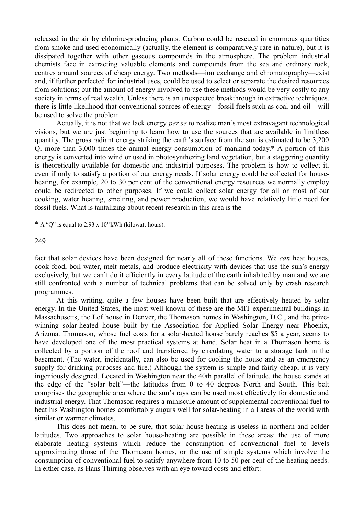released in the air by chlorine-producing plants. Carbon could be rescued in enormous quantities from smoke and used economically (actually, the element is comparatively rare in nature), but it is dissipated together with other gaseous compounds in the atmosphere. The problem industrial chemists face in extracting valuable elements and compounds from the sea and ordinary rock, centres around sources of cheap energy. Two methods—ion exchange and chromatography—exist and, if further perfected for industrial uses, could be used to select or separate the desired resources from solutions; but the amount of energy involved to use these methods would be very costly to any society in terms of real wealth. Unless there is an unexpected breakthrough in extractive techniques, there is little likelihood that conventional sources of energy—fossil fuels such as coal and oil—will be used to solve the problem.

Actually, it is not that we lack energy *per se* to realize man's most extravagant technological visions, but we are just beginning to learn how to use the sources that are available in limitless quantity. The gross radiant energy striking the earth's surface from the sun is estimated to be 3,200 Q, more than 3,000 times the annual energy consumption of mankind today.\* A portion of this energy is converted into wind or used in photosynthezing land vegetation, but a staggering quantity is theoretically available for domestic and industrial purposes. The problem is how to collect it, even if only to satisfy a portion of our energy needs. If solar energy could be collected for househeating, for example, 20 to 30 per cent of the conventional energy resources we normally employ could be redirected to other purposes. If we could collect solar energy for all or most of our cooking, water heating, smelting, and power production, we would have relatively little need for fossil fuels. What is tantalizing about recent research in this area is the

 $* A$  "O" is equal to 2.93 x  $10^{14}$  kWh (kilowatt-hours).

249

fact that solar devices have been designed for nearly all of these functions. We *can* heat houses, cook food, boil water, melt metals, and produce electricity with devices that use the sun's energy exclusively, but we can't do it efficiently in every latitude of the earth inhabited by man and we are still confronted with a number of technical problems that can be solved only by crash research programmes.

At this writing, quite a few houses have been built that are effectively heated by solar energy. In the United States, the most well known of these are the MIT experimental buildings in Massachusetts, the Lof house in Denver, the Thomason homes in Washington, D.C., and the prizewinning solar-heated house built by the Association for Applied Solar Energy near Phoenix, Arizona. Thomason, whose fuel costs for a solar-heated house barely reaches \$5 a year, seems to have developed one of the most practical systems at hand. Solar heat in a Thomason home is collected by a portion of the roof and transferred by circulating water to a storage tank in the basement. (The water, incidentally, can also be used for cooling the house and as an emergency supply for drinking purposes and fire.) Although the system is simple and fairly cheap, it is very ingeniously designed. Located in Washington near the 40th parallel of latitude, the house stands at the edge of the "solar belt"—the latitudes from 0 to 40 degrees North and South. This belt comprises the geographic area where the sun's rays can be used most effectively for domestic and industrial energy. That Thomason requires a miniscule amount of supplemental conventional fuel to heat his Washington homes comfortably augurs well for solar-heating in all areas of the world with similar or warmer climates.

This does not mean, to be sure, that solar house-heating is useless in northern and colder latitudes. Two approaches to solar house-heating are possible in these areas: the use of more elaborate heating systems which reduce the consumption of conventional fuel to levels approximating those of the Thomason homes, or the use of simple systems which involve the consumption of conventional fuel to satisfy anywhere from 10 to 50 per cent of the heating needs. In either case, as Hans Thirring observes with an eye toward costs and effort: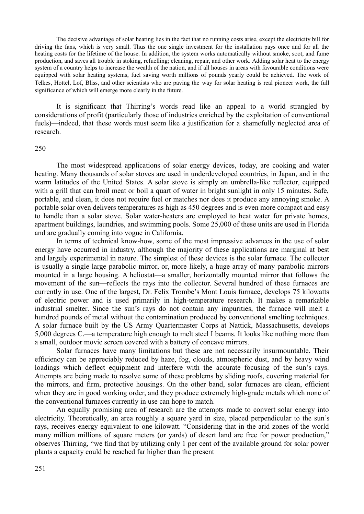The decisive advantage of solar heating lies in the fact that no running costs arise, except the electricity bill for driving the fans, which is very small. Thus the one single investment for the installation pays once and for all the heating costs for the lifetime of the house. In addition, the system works automatically without smoke, soot, and fume production, and saves all trouble in stoking, refuelling; cleaning, repair, and other work. Adding solar heat to the energy system of a country helps to increase the wealth of the nation, and if all houses in areas with favourable conditions were equipped with solar heating systems, fuel saving worth millions of pounds yearly could be achieved. The work of Telkes, Hottel, Lof, Bliss, and other scientists who are paving the way for solar heating is real pioneer work, the full significance of which will emerge more clearly in the future.

It is significant that Thirring's words read like an appeal to a world strangled by considerations of profit (particularly those of industries enriched by the exploitation of conventional fuels)—indeed, that these words must seem like a justification for a shamefully neglected area of research.

#### 250

The most widespread applications of solar energy devices, today, are cooking and water heating. Many thousands of solar stoves are used in underdeveloped countries, in Japan, and in the warm latitudes of the United States. A solar stove is simply an umbrella-like reflector, equipped with a grill that can broil meat or boil a quart of water in bright sunlight in only 15 minutes. Safe, portable, and clean, it does not require fuel or matches nor does it produce any annoying smoke. A portable solar oven delivers temperatures as high as 450 degrees and is even more compact and easy to handle than a solar stove. Solar water-heaters are employed to heat water for private homes, apartment buildings, laundries, and swimming pools. Some 25,000 of these units are used in Florida and are gradually coming into vogue in California.

In terms of technical know-how, some of the most impressive advances in the use of solar energy have occurred in industry, although the majority of these applications are marginal at best and largely experimental in nature. The simplest of these devices is the solar furnace. The collector is usually a single large parabolic mirror, or, more likely, a huge array of many parabolic mirrors mounted in a large housing. A heliostat—a smaller, horizontally mounted mirror that follows the movement of the sun—reflects the rays into the collector. Several hundred of these furnaces are currently in use. One of the largest, Dr. Felix Trombe's Mont Louis furnace, develops 75 kilowatts of electric power and is used primarily in high-temperature research. It makes a remarkable industrial smelter. Since the sun's rays do not contain any impurities, the furnace will melt a hundred pounds of metal without the contamination produced by conventional smelting techniques. A solar furnace built by the US Army Quartermaster Corps at Nattick, Massachusetts, develops 5,000 degrees C.—a temperature high enough to melt steel I beams. It looks like nothing more than a small, outdoor movie screen covered with a battery of concave mirrors.

Solar furnaces have many limitations but these are not necessarily insurmountable. Their efficiency can be appreciably reduced by haze, fog, clouds, atmospheric dust, and by heavy wind loadings which deflect equipment and interfere with the accurate focusing of the sun's rays. Attempts are being made to resolve some of these problems by sliding roofs, covering material for the mirrors, and firm, protective housings. On the other band, solar furnaces are clean, efficient when they are in good working order, and they produce extremely high-grade metals which none of the conventional furnaces currently in use can hope to match.

An equally promising area of research are the attempts made to convert solar energy into electricity. Theoretically, an area roughly a square yard in size, placed perpendicular to the sun's rays, receives energy equivalent to one kilowatt. "Considering that in the arid zones of the world many million millions of square meters (or yards) of desert land are free for power production," observes Thirring, "we find that by utilizing only 1 per cent of the available ground for solar power plants a capacity could be reached far higher than the present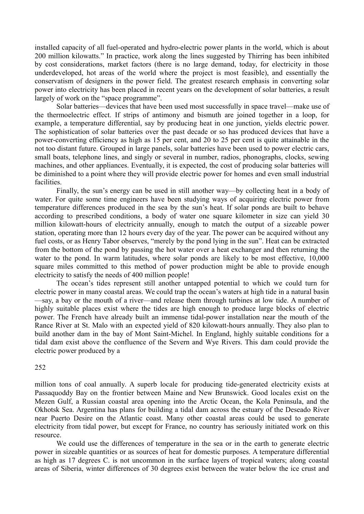installed capacity of all fuel-operated and hydro-electric power plants in the world, which is about 200 million kilowatts." In practice, work along the lines suggested by Thirring has been inhibited by cost considerations, market factors (there is no large demand, today, for electricity in those underdeveloped, hot areas of the world where the project is most feasible), and essentially the conservatism of designers in the power field. The greatest research emphasis in converting solar power into electricity has been placed in recent years on the development of solar batteries, a result largely of work on the "space programme".

Solar batteries—devices that have been used most successfully in space travel—make use of the thermoelectric effect. If strips of antimony and bismuth are joined together in a loop, for example, a temperature differential, say by producing heat in one junction, yields electric power. The sophistication of solar batteries over the past decade or so has produced devices that have a power-converting efficiency as high as 15 per cent, and 20 to 25 per cent is quite attainable in the not too distant future. Grouped in large panels, solar batteries have been used to power electric cars, small boats, telephone lines, and singly or several in number, radios, phonographs, clocks, sewing machines, and other appliances. Eventually, it is expected, the cost of producing solar batteries will be diminished to a point where they will provide electric power for homes and even small industrial **facilities** 

Finally, the sun's energy can be used in still another way—by collecting heat in a body of water. For quite some time engineers have been studying ways of acquiring electric power from temperature differences produced in the sea by the sun's heat. If solar ponds are built to behave according to prescribed conditions, a body of water one square kilometer in size can yield 30 million kilowatt-hours of electricity annually, enough to match the output of a sizeable power station, operating more than 12 hours every day of the year. The power can be acquired without any fuel costs, or as Henry Tabor observes, "merely by the pond lying in the sun". Heat can be extracted from the bottom of the pond by passing the hot water over a heat exchanger and then returning the water to the pond. In warm latitudes, where solar ponds are likely to be most effective, 10,000 square miles committed to this method of power production might be able to provide enough electricity to satisfy the needs of 400 million people!

The ocean's tides represent still another untapped potential to which we could turn for electric power in many coastal areas. We could trap the ocean's waters at high tide in a natural basin —say, a bay or the mouth of a river—and release them through turbines at low tide. A number of highly suitable places exist where the tides are high enough to produce large blocks of electric power. The French have already built an immense tidal-power installation near the mouth of the Rance River at St. Malo with an expected yield of 820 kilowatt-hours annually. They also plan to build another dam in the bay of Mont Saint-Michel. In England, highly suitable conditions for a tidal dam exist above the confluence of the Severn and Wye Rivers. This dam could provide the electric power produced by a

#### 252

million tons of coal annually. A superb locale for producing tide-generated electricity exists at Passaquoddy Bay on the frontier between Maine and New Brunswick. Good locales exist on the Mezen Gulf, a Russian coastal area opening into the Arctic Ocean, the Kola Peninsula, and the Okhotsk Sea. Argentina has plans for building a tidal dam across the estuary of the Deseado River near Puerto Desire on the Atlantic coast. Many other coastal areas could be used to generate electricity from tidal power, but except for France, no country has seriously initiated work on this resource.

We could use the differences of temperature in the sea or in the earth to generate electric power in sizeable quantities or as sources of heat for domestic purposes. A temperature differential as high as 17 degrees C. is not uncommon in the surface layers of tropical waters; along coastal areas of Siberia, winter differences of 30 degrees exist between the water below the ice crust and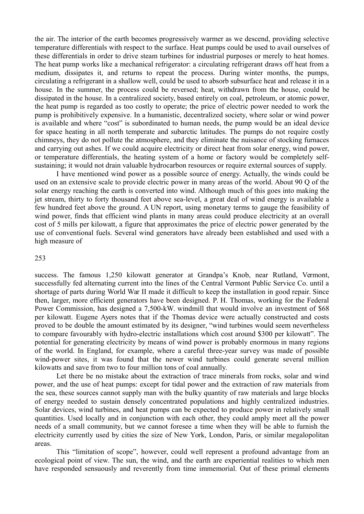the air. The interior of the earth becomes progressively warmer as we descend, providing selective temperature differentials with respect to the surface. Heat pumps could be used to avail ourselves of these differentials in order to drive steam turbines for industrial purposes or merely to heat homes. The heat pump works like a mechanical refrigerator: a circulating refrigerant draws off heat from a medium, dissipates it, and returns to repeat the process. During winter months, the pumps, circulating a refrigerant in a shallow well, could be used to absorb subsurface heat and release it in a house. In the summer, the process could be reversed; heat, withdrawn from the house, could be dissipated in the house. In a centralized society, based entirely on coal, petroleum, or atomic power, the heat pump is regarded as too costly to operate; the price of electric power needed to work the pump is prohibitively expensive. In a humanistic, decentralized society, where solar or wind power is available and where "cost" is subordinated to human needs, the pump would be an ideal device for space heating in all north temperate and subarctic latitudes. The pumps do not require costly chimneys, they do not pollute the atmosphere, and they eliminate the nuisance of stocking furnaces and carrying out ashes. If we could acquire electricity or direct heat from solar energy, wind power, or temperature differentials, the heating system of a home or factory would be completely selfsustaining; it would not drain valuable hydrocarbon resources or require external sources of supply.

I have mentioned wind power as a possible source of energy. Actually, the winds could be used on an extensive scale to provide electric power in many areas of the world. About 90 Q of the solar energy reaching the earth is converted into wind. Although much of this goes into making the jet stream, thirty to forty thousand feet above sea-level, a great deal of wind energy is available a few hundred feet above the ground. A UN report, using monetary terms to gauge the feasibility of wind power, finds that efficient wind plants in many areas could produce electricity at an overall cost of 5 mills per kilowatt, a figure that approximates the price of electric power generated by the use of conventional fuels. Several wind generators have already been established and used with a high measure of

#### 253

success. The famous 1,250 kilowatt generator at Grandpa's Knob, near Rutland, Vermont, successfully fed alternating current into the lines of the Central Vermont Public Service Co. until a shortage of parts during World War II made it difficult to keep the installation in good repair. Since then, larger, more efficient generators have been designed. P. H. Thomas, working for the Federal Power Commission, has designed a 7,500-kW. windmill that would involve an investment of \$68 per kilowatt. Eugene Ayers notes that if the Thomas device were actually constructed and costs proved to be double the amount estimated by its designer, "wind turbines would seem nevertheless to compare favourably with hydro-electric installations which cost around \$300 per kilowatt". The potential for generating electricity by means of wind power is probably enormous in many regions of the world. In England, for example, where a careful three-year survey was made of possible wind-power sites, it was found that the newer wind turbines could generate several million kilowatts and save from two to four million tons of coal annually.

Let there be no mistake about the extraction of trace minerals from rocks, solar and wind power, and the use of heat pumps: except for tidal power and the extraction of raw materials from the sea, these sources cannot supply man with the bulky quantity of raw materials and large blocks of energy needed to sustain densely concentrated populations and highly centralized industries. Solar devices, wind turbines, and heat pumps can be expected to produce power in relatively small quantities. Used locally and in conjunction with each other, they could amply meet all the power needs of a small community, but we cannot foresee a time when they will be able to furnish the electricity currently used by cities the size of New York, London, Paris, or similar megalopolitan areas.

This "limitation of scope", however, could well represent a profound advantage from an ecological point of view. The sun, the wind, and the earth are experiential realities to which men have responded sensuously and reverently from time immemorial. Out of these primal elements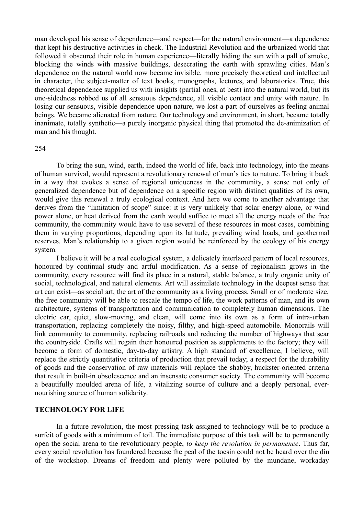man developed his sense of dependence—and respect—for the natural environment—a dependence that kept his destructive activities in check. The Industrial Revolution and the urbanized world that followed it obscured their role in human experience—literally hiding the sun with a pall of smoke, blocking the winds with massive buildings, desecrating the earth with sprawling cities. Man's dependence on the natural world now became invisible. more precisely theoretical and intellectual in character, the subject-matter of text books, monographs, lectures, and laboratories. True, this theoretical dependence supplied us with insights (partial ones, at best) into the natural world, but its one-sidedness robbed us of all sensuous dependence, all visible contact and unity with nature. In losing our sensuous, visible dependence upon nature, we lost a part of ourselves as feeling animal beings. We became alienated from nature. Our technology and environment, in short, became totally inanimate, totally synthetic—a purely inorganic physical thing that promoted the de-animization of man and his thought.

#### 254

To bring the sun, wind, earth, indeed the world of life, back into technology, into the means of human survival, would represent a revolutionary renewal of man's ties to nature. To bring it back in a way that evokes a sense of regional uniqueness in the community, a sense not only of generalized dependence but of dependence on a specific region with distinct qualities of its own, would give this renewal a truly ecological context. And here we come to another advantage that derives from the "limitation of scope" since: it is very unlikely that solar energy alone, or wind power alone, or heat derived from the earth would suffice to meet all the energy needs of the free community, the community would have to use several of these resources in most cases, combining them in varying proportions, depending upon its latitude, prevailing wind loads, and geothermal reserves. Man's relationship to a given region would be reinforced by the ecology of his energy system.

I believe it will be a real ecological system, a delicately interlaced pattern of local resources, honoured by continual study and artful modification. As a sense of regionalism grows in the community, every resource will find its place in a natural, stable balance, a truly organic unity of social, technological, and natural elements. Art will assimilate technology in the deepest sense that art can exist—as social art, the art of the community as a living process. Small or of moderate size, the free community will be able to rescale the tempo of life, the work patterns of man, and its own architecture, systems of transportation and communication to completely human dimensions. The electric car, quiet, slow-moving, and clean, will come into its own as a form of intra-urban transportation, replacing completely the noisy, filthy, and high-speed automobile. Monorails will link community to community, replacing railroads and reducing the number of highways that scar the countryside. Crafts will regain their honoured position as supplements to the factory; they will become a form of domestic, day-to-day artistry. A high standard of excellence, I believe, will replace the strictly quantitative criteria of production that prevail today; a respect for the durability of goods and the conservation of raw materials will replace the shabby, huckster-oriented criteria that result in built-in obsolescence and an insensate consumer society. The community will become a beautifully moulded arena of life, a vitalizing source of culture and a deeply personal, evernourishing source of human solidarity.

#### **TECHNOLOGY FOR LIFE**

In a future revolution, the most pressing task assigned to technology will be to produce a surfeit of goods with a minimum of toil. The immediate purpose of this task will be to permanently open the social arena to the revolutionary people, *to keep the revolution in permanence*. Thus far, every social revolution has foundered because the peal of the tocsin could not be heard over the din of the workshop. Dreams of freedom and plenty were polluted by the mundane, workaday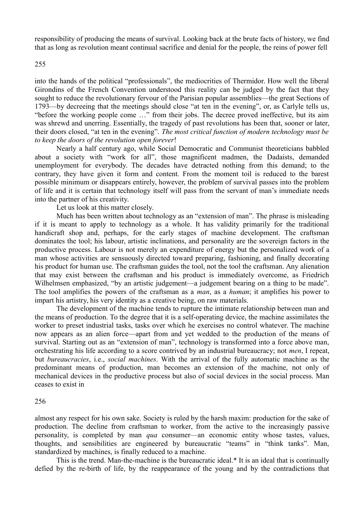responsibility of producing the means of survival. Looking back at the brute facts of history, we find that as long as revolution meant continual sacrifice and denial for the people, the reins of power fell

#### 255

into the hands of the political "professionals", the mediocrities of Thermidor. How well the liberal Girondins of the French Convention understood this reality can be judged by the fact that they sought to reduce the revolutionary fervour of the Parisian popular assemblies—the great Sections of 1793—by decreeing that the meetings should close "at ten in the evening", or, as Carlyle tells us, "before the working people come …" from their jobs. The decree proved ineffective, but its aim was shrewd and unerring. Essentially, the tragedy of past revolutions has been that, sooner or later, their doors closed, "at ten in the evening". *The most critical function of modern technology must be to keep the doors of the revolution open forever*!

Nearly a half century ago, while Social Democratic and Communist theoreticians babbled about a society with "work for all", those magnificent madmen, the Dadaists, demanded unemployment for everybody. The decades have detracted nothing from this demand; to the contrary, they have given it form and content. From the moment toil is reduced to the barest possible minimum or disappears entirely, however, the problem of survival passes into the problem of life and it is certain that technology itself will pass from the servant of man's immediate needs into the partner of his creativity.

Let us look at this matter closely.

Much has been written about technology as an "extension of man". The phrase is misleading if it is meant to apply to technology as a whole. It has validity primarily for the traditional handicraft shop and, perhaps, for the early stages of machine development. The craftsman dominates the tool; his labour, artistic inclinations, and personality are the sovereign factors in the productive process. Labour is not merely an expenditure of energy but the personalized work of a man whose activities are sensuously directed toward preparing, fashioning, and finally decorating his product for human use. The craftsman guides the tool, not the tool the craftsman. Any alienation that may exist between the craftsman and his product is immediately overcome, as Friedrich Wilhelmsen emphasized, "by an artistic judgement—a judgement bearing on a thing to be made". The tool amplifies the powers of the craftsman as a *man*, as a *human*; it amplifies his power to impart his artistry, his very identity as a creative being, on raw materials.

The development of the machine tends to rupture the intimate relationship between man and the means of production. To the degree that it is a self-operating device, the machine assimilates the worker to preset industrial tasks, tasks over which he exercises no control whatever. The machine now appears as an alien force—apart from and yet wedded to the production of the means of survival. Starting out as an "extension of man", technology is transformed into a force above man, orchestrating his life according to a score contrived by an industrial bureaucracy; not *men*, I repeat, but *bureaucracies*, i.e., *social machines*. With the arrival of the fully automatic machine as the predominant means of production, man becomes an extension of the machine, not only of mechanical devices in the productive process but also of social devices in the social process. Man ceases to exist in

#### 256

almost any respect for his own sake. Society is ruled by the harsh maxim: production for the sake of production. The decline from craftsman to worker, from the active to the increasingly passive personality, is completed by man *qua* consumer—an economic entity whose tastes, values, thoughts, and sensibilities are engineered by bureaucratic "teams" in "think tanks". Man, standardized by machines, is finally reduced to a machine.

This is the trend. Man-the-machine is the bureaucratic ideal.\* It is an ideal that is continually defied by the re-birth of life, by the reappearance of the young and by the contradictions that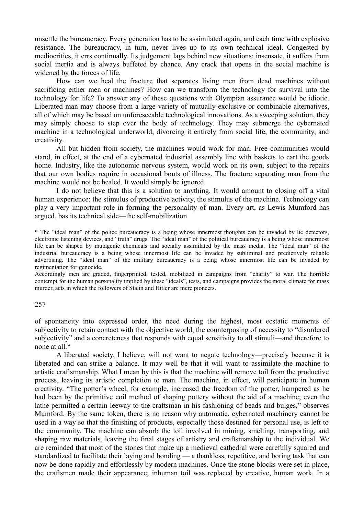unsettle the bureaucracy. Every generation has to be assimilated again, and each time with explosive resistance. The bureaucracy, in turn, never lives up to its own technical ideal. Congested by mediocrities, it errs continually. Its judgement lags behind new situations; insensate, it suffers from social inertia and is always buffeted by chance. Any crack that opens in the social machine is widened by the forces of life.

How can we heal the fracture that separates living men from dead machines without sacrificing either men or machines? How can we transform the technology for survival into the technology for life? To answer any of these questions with Olympian assurance would be idiotic. Liberated man may choose from a large variety of mutually exclusive or combinable alternatives, all of which may be based on unforeseeable technological innovations. As a sweeping solution, they may simply choose to step over the body of technology. They may submerge the cybernated machine in a technological underworld, divorcing it entirely from social life, the community, and creativity.

All but hidden from society, the machines would work for man. Free communities would stand, in effect, at the end of a cybernated industrial assembly line with baskets to cart the goods home. Industry, like the autonomic nervous system, would work on its own, subject to the repairs that our own bodies require in occasional bouts of illness. The fracture separating man from the machine would not be healed. It would simply be ignored.

I do not believe that this is a solution to anything. It would amount to closing off a vital human experience: the stimulus of productive activity, the stimulus of the machine. Technology can play a very important role in forming the personality of man. Every art, as Lewis Mumford has argued, bas its technical side—the self-mobilization

Accordingly men are graded, fingerprinted, tested, mobilized in campaigns from "charity" to war. The horrible contempt for the human personality implied by these "ideals", tests, and campaigns provides the moral climate for mass murder, acts in which the followers of Stalin and Hitler are mere pioneers.

257

of spontaneity into expressed order, the need during the highest, most ecstatic moments of subjectivity to retain contact with the objective world, the counterposing of necessity to "disordered subjectivity" and a concreteness that responds with equal sensitivity to all stimuli—and therefore to none at all  $*$ 

A liberated society, I believe, will not want to negate technology—precisely because it is liberated and can strike a balance. It may well be that it will want to assimilate the machine to artistic craftsmanship. What I mean by this is that the machine will remove toil from the productive process, leaving its artistic completion to man. The machine, in effect, will participate in human creativity. "The potter's wheel, for example, increased the freedom of the potter, hampered as he had been by the primitive coil method of shaping pottery without the aid of a machine; even the lathe permitted a certain leeway to the craftsman in his fashioning of beads and bulges," observes Mumford. By the same token, there is no reason why automatic, cybernated machinery cannot be used in a way so that the finishing of products, especially those destined for personal use, is left to the community. The machine can absorb the toil involved in mining, smelting, transporting, and shaping raw materials, leaving the final stages of artistry and craftsmanship to the individual. We are reminded that most of the stones that make up a medieval cathedral were carefully squared and standardized to facilitate their laying and bonding — a thankless, repetitive, and boring task that can now be done rapidly and effortlessly by modern machines. Once the stone blocks were set in place, the craftsmen made their appearance; inhuman toil was replaced by creative, human work. In a

<sup>\*</sup> The "ideal man" of the police bureaucracy is a being whose innermost thoughts can be invaded by lie detectors, electronic listening devices, and "truth" drugs. The "ideal man" of the political bureaucracy is a being whose innermost life can be shaped by mutagenic chemicals and socially assimilated by the mass media. The "ideal man" of the industrial bureaucracy is a being whose innermost life can be invaded by subliminal and predictively reliable advertising. The "ideal man" of the military bureaucracy is a being whose innermost life can be invaded by regimentation for genocide.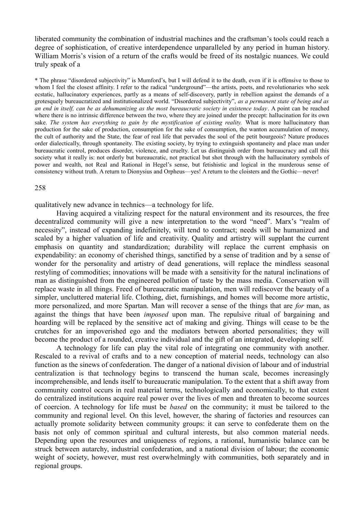liberated community the combination of industrial machines and the craftsman's tools could reach a degree of sophistication, of creative interdependence unparalleled by any period in human history. William Morris's vision of a return of the crafts would be freed of its nostalgic nuances. We could truly speak of a

\* The phrase "disordered subjectivity" is Mumford's, but I will defend it to the death, even if it is offensive to those to whom I feel the closest affinity. I refer to the radical "underground"—the artists, poets, and revolutionaries who seek ecstatic, hallucinatory experiences, partly as a means of self-discovery, partly in rebellion against the demands of a grotesquely bureaucratized and institutionalized world. "Disordered subjectivity", *as a permanent state of being and as an end in itself, can be as dehumanizing as the most bureaucratic society in existence today*. A point can be reached where there is no intrinsic difference between the two, where they are joined under the precept: hallucination for its own sake. *The system has everything to gain by the mystification of existing reality.* What is more hallucinatory than production for the sake of production, consumption for the sake of consumption, the wanton accumulation of money, the cult of authority and the State, the fear of real life that pervades the soul of the petit bourgeois? Nature produces order dialectically, through spontaneity. The existing society, by trying to extinguish spontaneity and place man under bureaucratic control, produces disorder, violence, and cruelty. Let us distinguish order from bureaucracy and call this society what it really is: not orderly but bureaucratic, not practical but shot through with the hallucinatory symbols of power and wealth, not Real and Rational in Hegel's sense, but fetishistic and logical in the murderous sense of consistency without truth. A return to Dionysius and Orpheus—yes! A return to the cloisters and the Gothic—never!

#### 258

qualitatively new advance in technics—a technology for life.

Having acquired a vitalizing respect for the natural environment and its resources, the free decentralized community will give a new interpretation to the word "need". Marx's "realm of necessity", instead of expanding indefinitely, will tend to contract; needs will be humanized and scaled by a higher valuation of life and creativity. Quality and artistry will supplant the current emphasis on quantity and standardization; durability will replace the current emphasis on expendability: an economy of cherished things, sanctified by a sense of tradition and by a sense of wonder for the personality and artistry of dead generations, will replace the mindless seasonal restyling of commodities; innovations will be made with a sensitivity for the natural inclinations of man as distinguished from the engineered pollution of taste by the mass media. Conservation will replace waste in all things. Freed of bureaucratic manipulation, men will rediscover the beauty of a simpler, uncluttered material life. Clothing, diet, furnishings, and homes will become more artistic, more personalized, and more Spartan. Man will recover a sense of the things that are *for* man, as against the things that have been *imposed* upon man. The repulsive ritual of bargaining and hoarding will be replaced by the sensitive act of making and giving. Things will cease to be the crutches for an impoverished ego and the mediators between aborted personalities; they will become the product of a rounded, creative individual and the gift of an integrated, developing self.

A technology for life can play the vital role of integrating one community with another. Rescaled to a revival of crafts and to a new conception of material needs, technology can also function as the sinews of confederation. The danger of a national division of labour and of industrial centralization is that technology begins to transcend the human scale, becomes increasingly incomprehensible, and lends itself to bureaucratic manipulation. To the extent that a shift away from community control occurs in real material terms, technologically and economically, to that extent do centralized institutions acquire real power over the lives of men and threaten to become sources of coercion. A technology for life must be *based* on the community; it must be tailored to the community and regional level. On this level, however, the sharing of factories and resources can actually promote solidarity between community groups: it can serve to confederate them on the basis not only of common spiritual and cultural interests, but also common material needs. Depending upon the resources and uniqueness of regions, a rational, humanistic balance can be struck between autarchy, industrial confederation, and a national division of labour; the economic weight of society, however, must rest overwhelmingly with communities, both separately and in regional groups.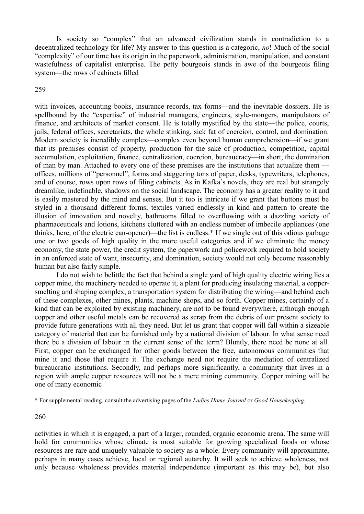Is society so "complex" that an advanced civilization stands in contradiction to a decentralized technology for life? My answer to this question is a categoric, *no*! Much of the social "complexity" of our time has its origin in the paperwork, administration, manipulation, and constant wastefulness of capitalist enterprise. The petty bourgeois stands in awe of the bourgeois filing system—the rows of cabinets filled

259

with invoices, accounting books, insurance records, tax forms—and the inevitable dossiers. He is spellbound by the "expertise" of industrial managers, engineers, style-mongers, manipulators of finance, and architects of market consent. He is totally mystified by the state—the police, courts, jails, federal offices, secretariats, the whole stinking, sick fat of coercion, control, and domination. Modern society is incredibly complex—complex even beyond human comprehension—if we grant that its premises consist of property, production for the sake of production, competition, capital accumulation, exploitation, finance, centralization, coercion, bureaucracy—in short, the domination of man by man. Attached to every one of these premises are the institutions that actualize them offices, millions of "personnel", forms and staggering tons of paper, desks, typewriters, telephones, and of course, rows upon rows of filing cabinets. As in Kafka's novels, they are real but strangely dreamlike, indefinable, shadows on the social landscape. The economy has a greater reality to it and is easily mastered by the mind and senses. But it too is intricate if we grant that buttons must be styled in a thousand different forms, textiles varied endlessly in kind and pattern to create the illusion of innovation and novelty, bathrooms filled to overflowing with a dazzling variety of pharmaceuticals and lotions, kitchens cluttered with an endless number of imbecile appliances (one thinks, here, of the electric can-opener)—the list is endless.\* If we single out of this odious garbage one or two goods of high quality in the more useful categories and if we eliminate the money economy, the state power, the credit system, the paperwork and policework required to hold society in an enforced state of want, insecurity, and domination, society would not only become reasonably human but also fairly simple.

I do not wish to belittle the fact that behind a single yard of high quality electric wiring lies a copper mine, the machinery needed to operate it, a plant for producing insulating material, a coppersmelting and shaping complex, a transportation system for distributing the wiring—and behind each of these complexes, other mines, plants, machine shops, and so forth. Copper mines, certainly of a kind that can be exploited by existing machinery, are not to be found everywhere, although enough copper and other useful metals can be recovered as scrap from the debris of our present society to provide future generations with all they need. But let us grant that copper will fall within a sizeable category of material that can be furnished only by a national division of labour. In what sense need there be a division of labour in the current sense of the term? Bluntly, there need be none at all. First, copper can be exchanged for other goods between the free, autonomous communities that mine it and those that require it. The exchange need not require the mediation of centralized bureaucratic institutions. Secondly, and perhaps more significantly, a community that lives in a region with ample copper resources will not be a mere mining community. Copper mining will be one of many economic

\* For supplemental reading, consult the advertising pages of the *Ladies Home Journal* or *Good Housekeeping*.

260

activities in which it is engaged, a part of a larger, rounded, organic economic arena. The same will hold for communities whose climate is most suitable for growing specialized foods or whose resources are rare and uniquely valuable to society as a whole. Every community will approximate, perhaps in many cases achieve, local or regional autarchy. It will seek to achieve wholeness, not only because wholeness provides material independence (important as this may be), but also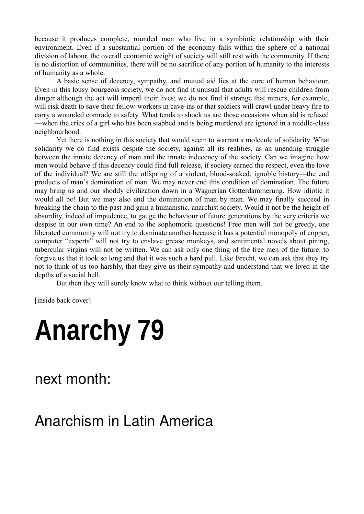because it produces complete, rounded men who live in a symbiotic relationship with their environment. Even if a substantial portion of the economy falls within the sphere of a national division of labour, the overall economic weight of society will still rest with the community. If there is no distortion of communities, there will be no sacrifice of any portion of humanity to the interests of humanity as a whole.

A basic sense of decency, sympathy, and mutual aid lies at the core of human behaviour. Even in this lousy bourgeois society, we do not find it unusual that adults will rescue children from danger although the act will imperil their lives; we do not find it strange that miners, for example, will risk death to save their fellow-workers in cave-ins or that soldiers will crawl under heavy fire to carry a wounded comrade to safety. What tends to shock us are those occasions when aid is refused —when the cries of a girl who has been stabbed and is being murdered are ignored in a middle-class neighbourhood.

Yet there is nothing in this society that would seem to warrant a molecule of solidarity. What solidarity we do find exists despite the society, against all its realities, as an unending struggle between the innate decency of man and the innate indecency of the society. Can we imagine how men would behave if this decency could find full release, if society earned the respect, even the love of the individual? We are still the offspring of a violent, blood-soaked, ignoble history—the end products of man's domination of man. We may never end this condition of domination. The future may bring us and our shoddy civilization down in a Wagnerian Gotterdammerung. How idiotic it would all be! But we may also end the domination of man by man. We may finally succeed in breaking the chain to the past and gain a humanistic, anarchist society. Would it not be the height of absurdity, indeed of impudence, to gauge the behaviour of future generations by the very criteria we despise in our own time? An end to the sophomoric questions! Free men will not be greedy, one liberated community will not try to dominate another because it has a potential monopoly of copper, computer "experts" will not try to enslave grease monkeys, and sentimental novels about pining, tubercular virgins will not be written. We can ask only one thing of the free men of the future: to forgive us that it took so long and that it was such a hard pull. Like Brecht, we can ask that they try not to think of us too harshly, that they give us their sympathy and understand that we lived in the depths of a social hell.

But then they will surely know what to think without our telling them.

[inside back cover]

# **Anarchy 79**

next month:

## Anarchism in Latin America